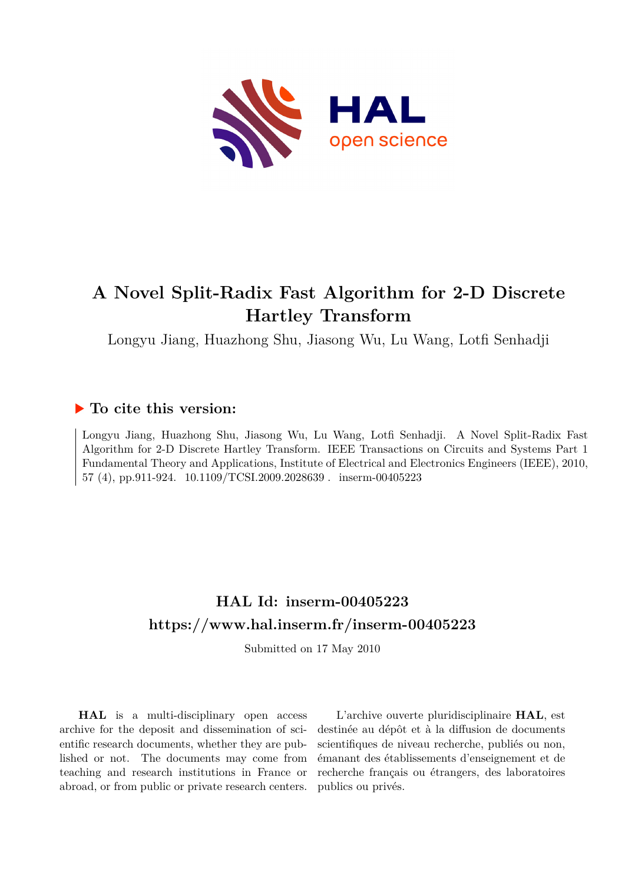

# **A Novel Split-Radix Fast Algorithm for 2-D Discrete Hartley Transform**

Longyu Jiang, Huazhong Shu, Jiasong Wu, Lu Wang, Lotfi Senhadji

# **To cite this version:**

Longyu Jiang, Huazhong Shu, Jiasong Wu, Lu Wang, Lotfi Senhadji. A Novel Split-Radix Fast Algorithm for 2-D Discrete Hartley Transform. IEEE Transactions on Circuits and Systems Part 1 Fundamental Theory and Applications, Institute of Electrical and Electronics Engineers (IEEE), 2010, 57 (4), pp.911-924. 10.1109/TCSI.2009.2028639 . inserm-00405223

# **HAL Id: inserm-00405223 <https://www.hal.inserm.fr/inserm-00405223>**

Submitted on 17 May 2010

**HAL** is a multi-disciplinary open access archive for the deposit and dissemination of scientific research documents, whether they are published or not. The documents may come from teaching and research institutions in France or abroad, or from public or private research centers.

L'archive ouverte pluridisciplinaire **HAL**, est destinée au dépôt et à la diffusion de documents scientifiques de niveau recherche, publiés ou non, émanant des établissements d'enseignement et de recherche français ou étrangers, des laboratoires publics ou privés.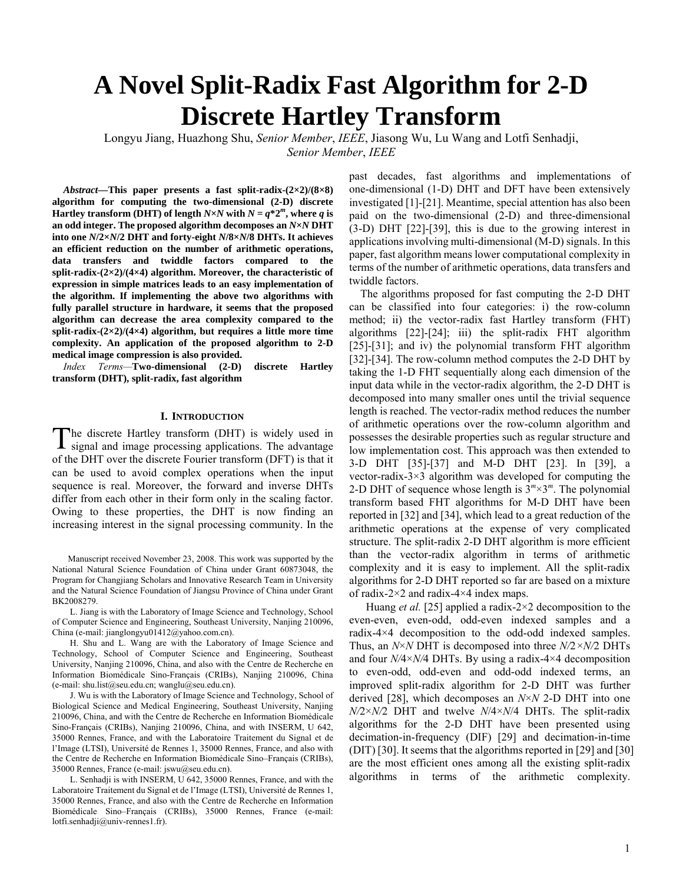# **A Novel Split-Radix Fast Algorithm for 2-D Discrete Hartley Transform**

Longyu Jiang, Huazhong Shu, *Senior Member*, *IEEE*, Jiasong Wu, Lu Wang and Lotfi Senhadji, *Senior Member*, *IEEE*

*Abstract—***This paper presents a fast split-radix-(2×2)/(8×8) algorithm for computing the two-dimensional (2-D) discrete Hartley transform (DHT) of length**  $N \times N$  with  $N = q^* 2^m$ , where *q* is **an odd integer. The proposed algorithm decomposes an** *N***×***N* **DHT into one** *N***/2×***N***/2 DHT and forty-eight** *N***/8×***N***/8 DHTs. It achieves an efficient reduction on the number of arithmetic operations, data transfers and twiddle factors compared to the split-radix-(2×2)/(4×4) algorithm. Moreover, the characteristic of expression in simple matrices leads to an easy implementation of the algorithm. If implementing the above two algorithms with fully parallel structure in hardware, it seems that the proposed algorithm can decrease the area complexity compared to the split-radix-(2×2)/(4×4) algorithm, but requires a little more time complexity. An application of the proposed algorithm to 2-D medical image compression is also provided.** 

*Index Terms—***Two-dimensional (2-D) discrete Hartley transform (DHT), split-radix, fast algorithm** 

# **I. INTRODUCTION**

he discrete Hartley transform (DHT) is widely used in The discrete Hartley transform (DHT) is widely used in signal and image processing applications. The advantage of the DHT over the discrete Fourier transform (DFT) is that it can be used to avoid complex operations when the input sequence is real. Moreover, the forward and inverse DHTs differ from each other in their form only in the scaling factor. Owing to these properties, the DHT is now finding an increasing interest in the signal processing community. In the

Manuscript received November 23, 2008. This work was supported by the National Natural Science Foundation of China under Grant 60873048, the Program for Changjiang Scholars and Innovative Research Team in University and the Natural Science Foundation of Jiangsu Province of China under Grant BK2008279.

L. Jiang is with the Laboratory of Image Science and Technology, School of Computer Science and Engineering, Southeast University, Nanjing 210096, China (e-mail: jianglongyu01412@yahoo.com.cn).

H. Shu and L. Wang are with the Laboratory of Image Science and Technology, School of Computer Science and Engineering, Southeast University, Nanjing 210096, China, and also with the Centre de Recherche en Information Biomédicale Sino-Français (CRIBs), Nanjing 210096, China (e-mail: shu.list@seu.edu.cn; wanglu@seu.edu.cn).

J. Wu is with the Laboratory of Image Science and Technology, School of Biological Science and Medical Engineering, Southeast University, Nanjing 210096, China, and with the Centre de Recherche en Information Biomédicale Sino-Français (CRIBs), Nanjing 210096, China, and with INSERM, U 642, 35000 Rennes, France, and with the Laboratoire Traitement du Signal et de l'Image (LTSI), Université de Rennes 1, 35000 Rennes, France, and also with the Centre de Recherche en Information Biomédicale Sino–Français (CRIBs), 35000 Rennes, France (e-mail: jswu@seu.edu.cn).

L. Senhadji is with INSERM, U 642, 35000 Rennes, France, and with the Laboratoire Traitement du Signal et de l'Image (LTSI), Université de Rennes 1, 35000 Rennes, France, and also with the Centre de Recherche en Information Biomédicale Sino–Français (CRIBs), 35000 Rennes, France (e-mail: lotfi.senhadji@univ-rennes1.fr).

past decades, fast algorithms and implementations of one-dimensional (1-D) DHT and DFT have been extensively investigated [1]-[21]. Meantime, special attention has also been paid on the two-dimensional (2-D) and three-dimensional (3-D) DHT [22]-[39], this is due to the growing interest in applications involving multi-dimensional (M-D) signals. In this paper, fast algorithm means lower computational complexity in terms of the number of arithmetic operations, data transfers and twiddle factors.

The algorithms proposed for fast computing the 2-D DHT can be classified into four categories: i) the row-column method; ii) the vector-radix fast Hartley transform (FHT) algorithms [22]-[24]; iii) the split-radix FHT algorithm [25]-[31]; and iv) the polynomial transform FHT algorithm [32]-[34]. The row-column method computes the 2-D DHT by taking the 1-D FHT sequentially along each dimension of the input data while in the vector-radix algorithm, the 2-D DHT is decomposed into many smaller ones until the trivial sequence length is reached. The vector-radix method reduces the number of arithmetic operations over the row-column algorithm and possesses the desirable properties such as regular structure and low implementation cost. This approach was then extended to 3-D DHT [35]-[37] and M-D DHT [23]. In [39], a vector-radix-3×3 algorithm was developed for computing the 2-D DHT of sequence whose length is  $3^m \times 3^m$ . The polynomial transform based FHT algorithms for M-D DHT have been reported in [32] and [34], which lead to a great reduction of the arithmetic operations at the expense of very complicated structure. The split-radix 2-D DHT algorithm is more efficient than the vector-radix algorithm in terms of arithmetic complexity and it is easy to implement. All the split-radix algorithms for 2-D DHT reported so far are based on a mixture of radix-2×2 and radix-4×4 index maps.

Huang *et al.* [25] applied a radix-2×2 decomposition to the even-even, even-odd, odd-even indexed samples and a radix-4×4 decomposition to the odd-odd indexed samples. Thus, an *N*×*N* DHT is decomposed into three *N/*2*×N/*2 DHTs and four *N/*4×*N/*4 DHTs. By using a radix-4×4 decomposition to even-odd, odd-even and odd-odd indexed terms, an improved split-radix algorithm for 2-D DHT was further derived [28], which decomposes an *N*×*N* 2-D DHT into one *N/*2×*N/*2 DHT and twelve *N*/4×*N*/4 DHTs. The split-radix algorithms for the 2-D DHT have been presented using decimation-in-frequency (DIF) [29] and decimation-in-time (DIT) [30]. It seems that the algorithms reported in [29] and [30] are the most efficient ones among all the existing split-radix algorithms in terms of the arithmetic complexity.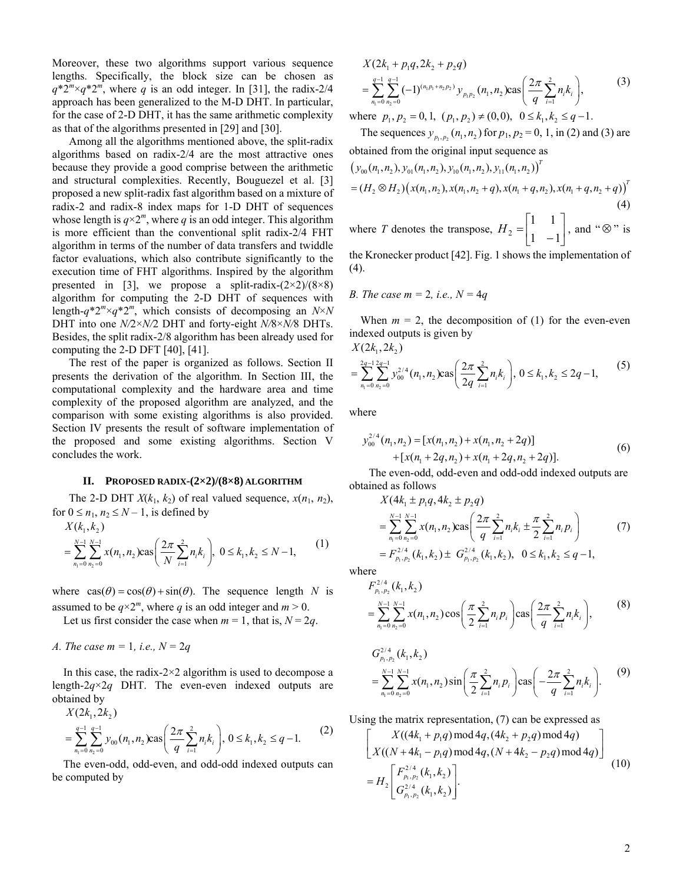Moreover, these two algorithms support various sequence lengths. Specifically, the block size can be chosen as  $q^*2^m \times q^*2^m$ , where *q* is an odd integer. In [31], the radix-2/4 approach has been generalized to the M-D DHT. In particular, for the case of 2-D DHT, it has the same arithmetic complexity as that of the algorithms presented in [29] and [30].

Among all the algorithms mentioned above, the split-radix algorithms based on radix-2/4 are the most attractive ones because they provide a good comprise between the arithmetic and structural complexities. Recently, Bouguezel et al. [3] proposed a new split-radix fast algorithm based on a mixture of radix-2 and radix-8 index maps for 1-D DHT of sequences whose length is  $q \times 2^m$ , where *q* is an odd integer. This algorithm is more efficient than the conventional split radix-2/4 FHT algorithm in terms of the number of data transfers and twiddle factor evaluations, which also contribute significantly to the execution time of FHT algorithms. Inspired by the algorithm presented in [3], we propose a split-radix- $(2\times2)/(8\times8)$ algorithm for computing the 2-D DHT of sequences with length- $q^*2^m \times q^*2^m$ , which consists of decomposing an  $N \times N$ DHT into one *N/*2×*N/*2 DHT and forty-eight *N/*8×*N/*8 DHTs. Besides, the split radix-2/8 algorithm has been already used for computing the 2-D DFT [40], [41].

The rest of the paper is organized as follows. Section II presents the derivation of the algorithm. In Section III, the computational complexity and the hardware area and time complexity of the proposed algorithm are analyzed, and the comparison with some existing algorithms is also provided. Section IV presents the result of software implementation of the proposed and some existing algorithms. Section V concludes the work.

# **II. PROPOSED RADIX-(2×2)/(8×8) ALGORITHM**

The 2-D DHT  $X(k_1, k_2)$  of real valued sequence,  $x(n_1, n_2)$ , for  $0 \le n_1, n_2 \le N-1$ , is defined by

$$
X(k_1, k_2)
$$
  
=  $\sum_{n_1=0}^{N-1} \sum_{n_2=0}^{N-1} x(n_1, n_2) \cos\left(\frac{2\pi}{N} \sum_{i=1}^{2} n_i k_i\right), 0 \le k_1, k_2 \le N-1,$  (1)

where  $\cos(\theta) = \cos(\theta) + \sin(\theta)$ . The sequence length *N* is assumed to be  $q \times 2^m$ , where *q* is an odd integer and  $m > 0$ .

Let us first consider the case when  $m = 1$ , that is,  $N = 2q$ .

*A. The case m =* 1*, i.e., N =* 2*q* 

In this case, the radix- $2 \times 2$  algorithm is used to decompose a length-2*q*×2*q* DHT. The even-even indexed outputs are obtained by

$$
X(2k_1, 2k_2)
$$

$$
= \sum_{n_1=0}^{q-1} \sum_{n_2=0}^{q-1} y_{00}(n_1, n_2) \text{cas}\left(\frac{2\pi}{q} \sum_{i=1}^2 n_i k_i\right), 0 \le k_1, k_2 \le q-1. \tag{2}
$$

The even-odd, odd-even, and odd-odd indexed outputs can be computed by

$$
X(2k_1 + p_1q, 2k_2 + p_2q)
$$
  
= 
$$
\sum_{n_1=0}^{q-1} \sum_{n_2=0}^{q-1} (-1)^{(n_1p_1+n_2p_2)} y_{p_1p_2}(n_1, n_2) \cos\left(\frac{2\pi}{q} \sum_{i=1}^{2} n_i k_i\right),
$$
 (3)

where  $p_1, p_2 = 0, 1, (p_1, p_2) \neq (0, 0), 0 \leq k_1, k_2 \leq q-1.$ 

The sequences  $y_{p_1, p_2}(n_1, n_2)$  for  $p_1, p_2 = 0, 1$ , in (2) and (3) are obtained from the original input sequence as

$$
(y_{00}(n_1, n_2), y_{01}(n_1, n_2), y_{10}(n_1, n_2), y_{11}(n_1, n_2))T=(H2 \otimes H2)(x(n_1, n_2), x(n_1, n_2 + q), x(n_1 + q, n_2), x(n_1 + q, n_2 + q))T
$$
(4)

where *T* denotes the transpose,  $H_2 = \begin{bmatrix} 1 & 1 \end{bmatrix}$  $\overline{\phantom{a}}$  $\begin{vmatrix} 1 & 1 \\ 1 & 1 \end{vmatrix}$ ⎣  $H_2 = \begin{bmatrix} 1 & 1 \\ 1 & -1 \end{bmatrix}$ , and "⊗" is

the Kronecker product [42]. Fig. 1 shows the implementation of (4).

*B. The case m = 2, i.e., N = 4q* 

When  $m = 2$ , the decomposition of (1) for the even-even indexed outputs is given by

 $X(2k_1, 2k_2)$ 

$$
= \sum_{n_1=0}^{2q-1} \sum_{n_2=0}^{2q-1} y_{00}^{2/4} (n_1, n_2) \text{cas}\left(\frac{2\pi}{2q} \sum_{i=1}^{2} n_i k_i\right), \ 0 \le k_1, k_2 \le 2q-1,\tag{5}
$$

where

$$
y_{00}^{2/4}(n_1, n_2) = [x(n_1, n_2) + x(n_1, n_2 + 2q)]
$$
  
+ 
$$
[x(n_1 + 2q, n_2) + x(n_1 + 2q, n_2 + 2q)].
$$
 (6)

 The even-odd, odd-even and odd-odd indexed outputs are obtained as follows

$$
X(4k_1 \pm p_1q, 4k_2 \pm p_2q)
$$
  
= 
$$
\sum_{n_1=0}^{N-1} \sum_{n_2=0}^{N-1} x(n_1, n_2) \cos\left(\frac{2\pi}{q} \sum_{i=1}^{2} n_i k_i \pm \frac{\pi}{2} \sum_{i=1}^{2} n_i p_i\right)
$$
  
= 
$$
F_{p_1, p_2}^{2/4}(k_1, k_2) \pm G_{p_1, p_2}^{2/4}(k_1, k_2), \quad 0 \le k_1, k_2 \le q-1,
$$
 (7)

where

$$
F_{p_1, p_2}^{2/4}(k_1, k_2)
$$
  
= 
$$
\sum_{n_1=0}^{N-1} \sum_{n_2=0}^{N-1} x(n_1, n_2) \cos\left(\frac{\pi}{2} \sum_{i=1}^{2} n_i p_i\right) \cos\left(\frac{2\pi}{q} \sum_{i=1}^{2} n_i k_i\right),
$$
 (8)

$$
G_{p_1, p_2}^{2/4}(k_1, k_2)
$$
  
= 
$$
\sum_{n_1=0}^{N-1} \sum_{n_2=0}^{N-1} x(n_1, n_2) \sin\left(\frac{\pi}{2} \sum_{i=1}^{2} n_i p_i\right) \cos\left(-\frac{2\pi}{q} \sum_{i=1}^{2} n_i k_i\right).
$$
 (9)

Using the matrix representation, (7) can be expressed as

$$
\begin{bmatrix}\nX((4k_1 + p_1q) \mod 4q, (4k_2 + p_2q) \mod 4q) \\
X((N + 4k_1 - p_1q) \mod 4q, (N + 4k_2 - p_2q) \mod 4q) \\
= H_2 \begin{bmatrix}\nF_{p_1, p_2}^{2/4}(k_1, k_2) \\
G_{p_1, p_2}^{2/4}(k_1, k_2)\n\end{bmatrix}.\n\tag{10}
$$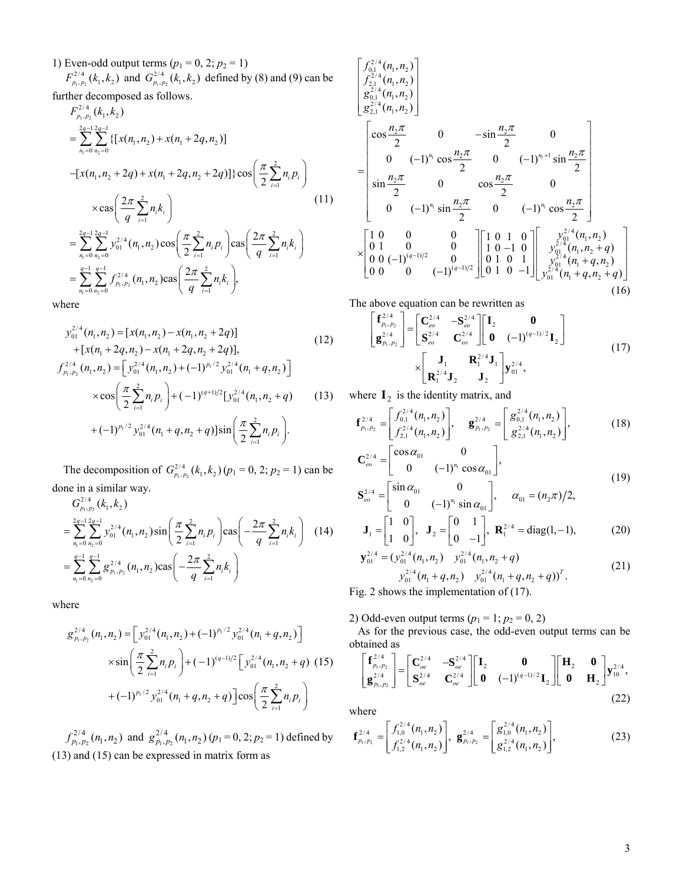1) Even-odd output terms  $(p_1 = 0, 2; p_2 = 1)$ 

 $1, p_2$  $F_{p_1, p_2}^{2/4}(k_1, k_2)$  and  $G_{p_1, p_2}^{2/4}(k_1, k_2)$  defined by (8) and (9) can be further decomposed as follows.

$$
F_{p_1, p_2}^{2/4}(k_1, k_2)
$$
  
\n
$$
= \sum_{n_1=0}^{2q-1} \sum_{n_2=0}^{2q-1} \{ [x(n_1, n_2) + x(n_1 + 2q, n_2)]
$$
  
\n
$$
- [x(n_1, n_2 + 2q) + x(n_1 + 2q, n_2 + 2q)] \} \cos \left( \frac{\pi}{2} \sum_{i=1}^{2} n_i p_i \right)
$$
  
\n
$$
\times \cos \left( \frac{2\pi}{q} \sum_{i=1}^{2} n_i k_i \right)
$$
  
\n
$$
= \sum_{n_1=0}^{2q-1} \sum_{n_2=0}^{2q-1} y_{01}^{2/4}(n_1, n_2) \cos \left( \frac{\pi}{2} \sum_{i=1}^{2} n_i p_i \right) \cos \left( \frac{2\pi}{q} \sum_{i=1}^{2} n_i k_i \right)
$$
  
\n
$$
= \sum_{n_1=0}^{q-1} \sum_{n_2=0}^{q-1} f_{p_1, p_2}^{2/4}(n_1, n_2) \cos \left( \frac{2\pi}{q} \sum_{i=1}^{2} n_i k_i \right),
$$

where

$$
y_{01}^{2/4}(n_1, n_2) = [x(n_1, n_2) - x(n_1, n_2 + 2q)]
$$
\n
$$
+ [x(n_1 + 2q, n_2) - x(n_1 + 2q, n_2 + 2q)],
$$
\n
$$
f_{p_1, p_2}^{2/4}(n_1, n_2) = [y_{01}^{2/4}(n_1, n_2) + (-1)^{p_1/2} y_{01}^{2/4}(n_1 + q, n_2)]
$$
\n
$$
\times \cos\left(\frac{\pi}{2} \sum_{i=1}^2 n_i p_i\right) + (-1)^{(q+1)/2} [y_{01}^{2/4}(n_1, n_2 + q)]
$$
\n
$$
+ (-1)^{p_1/2} y_{01}^{2/4}(n_1 + q, n_2 + q)] \sin\left(\frac{\pi}{2} \sum_{i=1}^2 n_i p_i\right).
$$
\n(13)

The decomposition of  $G_{p_1, p_2}^{2/4}(k_1, k_2)$  ( $p_1 = 0, 2; p_2 = 1$ ) can be done in a similar way.

$$
G_{p_1, p_2}^{2/4}(k_1, k_2)
$$
  
= 
$$
\sum_{n_1=0}^{2q-1} \sum_{n_2=0}^{2q-1} y_{01}^{2/4}(n_1, n_2) \sin\left(\frac{\pi}{2} \sum_{i=1}^{2} n_i p_i\right) \cos\left(-\frac{2\pi}{q} \sum_{i=1}^{2} n_i k_i\right)
$$
 (14)  
= 
$$
\sum_{n_1=0}^{q-1} \sum_{n_2=0}^{q-1} g_{p_1, p_2}^{2/4}(n_1, n_2) \cos\left(-\frac{2\pi}{q} \sum_{i=1}^{2} n_i k_i\right)
$$

where

$$
g_{p_1,p_2}^{2/4}(n_1, n_2) = \left[ y_{01}^{2/4}(n_1, n_2) + (-1)^{p_1/2} y_{01}^{2/4}(n_1 + q, n_2) \right]
$$
  
 
$$
\times \sin\left(\frac{\pi}{2} \sum_{i=1}^2 n_i p_i\right) + (-1)^{(q-1)/2} \left[ y_{01}^{2/4}(n_1, n_2 + q) \right]
$$
 (15)  
 
$$
+ (-1)^{p_1/2} y_{01}^{2/4}(n_1 + q, n_2 + q) \left] \cos\left(\frac{\pi}{2} \sum_{i=1}^2 n_i p_i\right)
$$

 $_1, p_2$  $f_{p_1, p_2}^{2/4}(n_1, n_2)$  and  $g_{p_1, p_2}^{2/4}(n_1, n_2)$   $(p_1 = 0, 2; p_2 = 1)$  defined by (13) and (15) can be expressed in matrix form as

$$
\begin{bmatrix}\nf_{0,1}^{2/4}(n_1, n_2) \\
f_{2,1}^{2/4}(n_1, n_2) \\
g_{2,1}^{2/4}(n_1, n_2) \\
g_{2,1}^{2/4}(n_1, n_2)\n\end{bmatrix}
$$
\n
$$
=\begin{bmatrix}\n\cos \frac{n_2 \pi}{2} & 0 & -\sin \frac{n_2 \pi}{2} & 0 \\
0 & (-1)^{n_1} \cos \frac{n_2 \pi}{2} & 0 & (-1)^{n_1+1} \sin \frac{n_2 \pi}{2} \\
\sin \frac{n_2 \pi}{2} & 0 & \cos \frac{n_2 \pi}{2} & 0 \\
0 & (-1)^{n_1} \sin \frac{n_2 \pi}{2} & 0 & (-1)^{n_1} \cos \frac{n_2 \pi}{2}\n\end{bmatrix}
$$
\n
$$
\times \begin{bmatrix}\n1 & 0 & 0 & 0 \\
0 & 1 & 0 & 0 \\
0 & 0 & (-1)^{(q-1)/2} & 0 \\
0 & 0 & 0 & (-1)^{(q-1)/2}\n\end{bmatrix}\n\begin{bmatrix}\n1 & 0 & 1 & 0 \\
1 & 0 & -1 & 0 \\
0 & 1 & 0 & 1 \\
0 & 1 & 0 & -1\n\end{bmatrix}\n\begin{bmatrix}\ny_{01}^{2/4}(n_1, n_2) \\
y_{01}^{2/4}(n_1, n_2 + q) \\
y_{01}^{2/4}(n_1 + q, n_2 + q) \\
y_{01}^{2/4}(n_1 + q, n_2 + q)\n\end{bmatrix}
$$
\n
$$
(16)
$$

The above equation can be rewritten as

$$
\begin{bmatrix} \mathbf{f}_{p_1, p_2}^{2/4} \\ \mathbf{g}_{p_1, p_2}^{2/4} \end{bmatrix} = \begin{bmatrix} \mathbf{C}_{eo}^{2/4} & -\mathbf{S}_{eo}^{2/4} \\ \mathbf{S}_{eo}^{2/4} & \mathbf{C}_{eo}^{2/4} \end{bmatrix} \begin{bmatrix} \mathbf{I}_2 & \mathbf{0} \\ \mathbf{0} & (-1)^{(q-1)/2} \mathbf{I}_2 \end{bmatrix}
$$
\n
$$
\times \begin{bmatrix} \mathbf{J}_1 & \mathbf{R}_1^{2/4} \mathbf{J}_1 \\ \mathbf{R}_1^{2/4} \mathbf{J}_2 & \mathbf{J}_2 \end{bmatrix} \mathbf{y}_{01}^{2/4},
$$
\n(17)

where  $\mathbf{I}_2$  is the identity matrix, and

$$
\mathbf{f}_{p_1, p_2}^{2/4} = \begin{bmatrix} f_{0,1}^{2/4}(n_1, n_2) \\ f_{2,1}^{2/4}(n_1, n_2) \end{bmatrix}, \quad \mathbf{g}_{p_1, p_2}^{2/4} = \begin{bmatrix} g_{0,1}^{2/4}(n_1, n_2) \\ g_{2,1}^{2/4}(n_1, n_2) \end{bmatrix}, \quad (18)
$$

$$
\mathbf{C}_{eo}^{2/4} = \begin{bmatrix} \cos \alpha_{01} & 0 \\ 0 & (-1)^{n_1} \cos \alpha_{01} \end{bmatrix},
$$
  
\n
$$
\mathbf{S}_{eo}^{2/4} = \begin{bmatrix} \sin \alpha_{01} & 0 \\ 0 & (-1)^{n_1} \sin \alpha_{01} \end{bmatrix}, \quad \alpha_{01} = (n_2 \pi)/2,
$$
\n(19)

$$
\mathbf{J}_1 = \begin{bmatrix} 1 & 0 \\ 1 & 0 \end{bmatrix}, \quad \mathbf{J}_2 = \begin{bmatrix} 0 & 1 \\ 0 & -1 \end{bmatrix}, \quad \mathbf{R}_1^{2/4} = \text{diag}(1, -1), \tag{20}
$$

$$
\mathbf{y}_{01}^{2/4} = (y_{01}^{2/4} (n_1, n_2) y_{01}^{2/4} (n_1, n_2 + q) \ny_{01}^{2/4} (n_1 + q, n_2) y_{01}^{2/4} (n_1 + q, n_2 + q))^T.
$$
\n(21)

Fig. 2 shows the implementation of (17).

2) Odd-even output terms  $(p_1 = 1; p_2 = 0, 2)$ 

 As for the previous case, the odd-even output terms can be obtained as

$$
\begin{bmatrix} \mathbf{f}_{p_1,p_2}^{2/4} \\ \mathbf{g}_{p_1,p_2}^{2/4} \end{bmatrix} = \begin{bmatrix} \mathbf{C}_{oe}^{2/4} & -\mathbf{S}_{oe}^{2/4} \\ \mathbf{S}_{oe}^{2/4} & \mathbf{C}_{oe}^{2/4} \end{bmatrix} \begin{bmatrix} \mathbf{I}_2 & \mathbf{0} \\ \mathbf{0} & (-1)^{(q-1)/2} \mathbf{I}_2 \end{bmatrix} \begin{bmatrix} \mathbf{H}_2 & \mathbf{0} \\ \mathbf{0} & \mathbf{H}_2 \end{bmatrix} \mathbf{y}_{10}^{2/4},
$$
\n(22)

where

$$
\mathbf{f}_{p_1, p_2}^{2/4} = \begin{bmatrix} f_{1,0}^{2/4}(n_1, n_2) \\ f_{1,2}^{2/4}(n_1, n_2) \end{bmatrix}, \ \mathbf{g}_{p_1, p_2}^{2/4} = \begin{bmatrix} g_{1,0}^{2/4}(n_1, n_2) \\ g_{1,2}^{2/4}(n_1, n_2) \end{bmatrix},
$$
(23)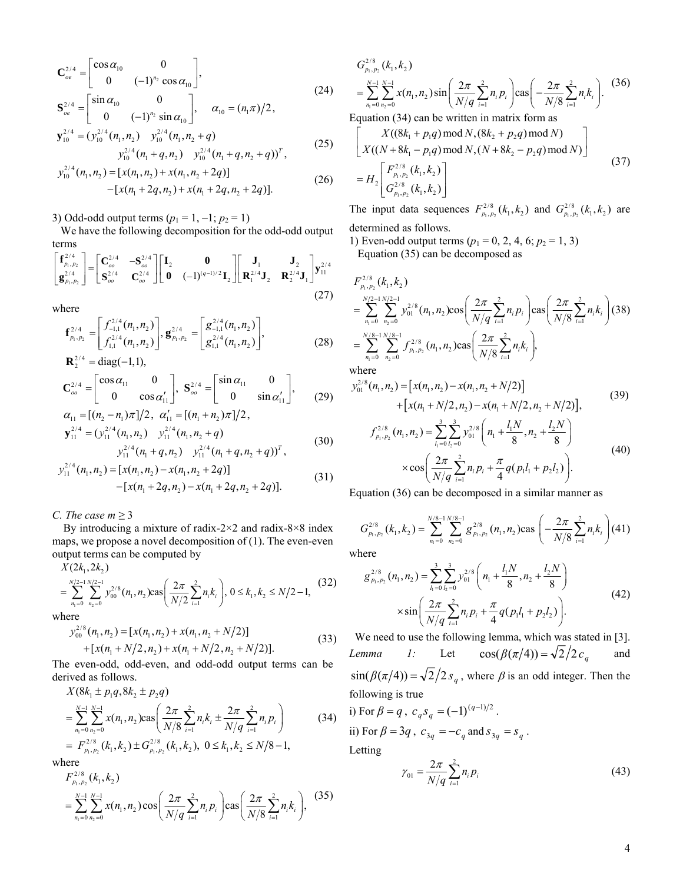$$
\mathbf{C}_{oe}^{2/4} = \begin{bmatrix} \cos \alpha_{10} & 0 \\ 0 & (-1)^{n_2} \cos \alpha_{10} \end{bmatrix},
$$
\n
$$
\mathbf{S}_{oe}^{2/4} = \begin{bmatrix} \sin \alpha_{10} & 0 \\ 0 & (-1)^{n_2} \sin \alpha_{10} \end{bmatrix}, \quad \alpha_{10} = (n_1 \pi)/2,
$$
\n
$$
\mathbf{y}_{10}^{2/4} = (\mathbf{y}_{10}^{2/4} (n_1, n_2) \quad \mathbf{y}_{10}^{2/4} (n_1, n_2 + q) \quad \mathbf{y}_{10}^{2/4} (n_1 + q, n_2) \quad \mathbf{y}_{10}^{2/4} (n_1 + q, n_2 + q))^T,
$$
\n(25)

$$
y_{10}^{2/4}(n_1, n_2) = [x(n_1, n_2) + x(n_1, n_2 + 2q)]
$$
  
-[x(n<sub>1</sub> + 2q, n<sub>2</sub>) + x(n<sub>1</sub> + 2q, n<sub>2</sub> + 2q)]. (26)

3) Odd-odd output terms  $(p_1 = 1, -1; p_2 = 1)$ 

 We have the following decomposition for the odd-odd output terms

$$
\begin{bmatrix} \mathbf{f}_{p_1, p_2}^{2/4} \\ \mathbf{g}_{p_1, p_2}^{2/4} \end{bmatrix} = \begin{bmatrix} \mathbf{C}_{oo}^{2/4} & -\mathbf{S}_{oo}^{2/4} \\ \mathbf{S}_{oo}^{2/4} & \mathbf{C}_{oo}^{2/4} \end{bmatrix} \begin{bmatrix} \mathbf{I}_2 & \mathbf{0} \\ \mathbf{0} & (-1)^{(q-1)/2} \mathbf{I}_2 \end{bmatrix} \begin{bmatrix} \mathbf{J}_1 & \mathbf{J}_2 \\ \mathbf{R}_1^{2/4} \mathbf{J}_2 & \mathbf{R}_2^{2/4} \mathbf{J}_1 \end{bmatrix} \mathbf{y}_{11}^{2/4}
$$
\n(27)

where

$$
\mathbf{f}_{p_1, p_2}^{2/4} = \begin{bmatrix} f_{-1,1}^{2/4}(n_1, n_2) \\ f_{1,1}^{2/4}(n_1, n_2) \end{bmatrix}, \mathbf{g}_{p_1, p_2}^{2/4} = \begin{bmatrix} g_{-1,1}^{2/4}(n_1, n_2) \\ g_{1,1}^{2/4}(n_1, n_2) \end{bmatrix},
$$
\n
$$
\mathbf{R}_2^{2/4} = \text{diag}(-1, 1),
$$
\n(28)

$$
\mathbf{C}_{oo}^{2/4} = \begin{bmatrix} \cos \alpha_{11} & 0 \\ 0 & \cos \alpha_{11}' \end{bmatrix}, \ \mathbf{S}_{oo}^{2/4} = \begin{bmatrix} \sin \alpha_{11} & 0 \\ 0 & \sin \alpha_{11}' \end{bmatrix}, \qquad (29)
$$

$$
\alpha_{11} = [(n_2 - n_1)\pi]/2, \quad \alpha_{11}' = [(n_1 + n_2)\pi]/2, \n\mathbf{y}_{11}^{2/4} = (\mathbf{y}_{11}^{2/4}(n_1, n_2) \quad \mathbf{y}_{11}^{2/4}(n_1, n_2 + q) \n\mathbf{y}_{11}^{2/4}(n_1 + q, n_2) \quad \mathbf{y}_{11}^{2/4}(n_1 + q, n_2 + q))^T,
$$
\n(30)

$$
y_{11}^{2/4}(n_1, n_2) = [x(n_1, n_2) - x(n_1, n_2 + 2q)]
$$
  
- [x(n\_1 + 2q, n\_2) - x(n\_1 + 2q, n\_2 + 2q)]. (31)

*C. The case*  $m \geq 3$ 

By introducing a mixture of radix-2×2 and radix-8×8 index maps, we propose a novel decomposition of (1). The even-even output terms can be computed by

 $1 - 0$   $n_2$  $X(2k_1, 2k_2)$  $\sum_{n_1=0}^{N/2-1} \sum_{n_2=0}^{N/2-1} y_{00}^{2/8}(n_1, n_2) \text{cas}\left(\frac{2\pi}{N/2}\sum_{i=1}^{2} n_i k_i\right), 0 \le k_1, k_2 \le N/2-1,$  $\sum_{n_1=0}^{N/2-1} \sum_{n_2=0}^{N/2-1} y_{00}^{2/8}(n_1, n_2) \text{cas}\left(\frac{2\pi}{N/2}\sum_{i=1}^{2} n_i k_i\right), 0 \leq k_1, k_2 \leq N$  $= \sum_{n_1=0}^{N/2-1} \sum_{n_2=0}^{N/2-1} y_{00}^{2/8} (n_1, n_2) \text{cas}\left(\frac{2\pi}{N/2} \sum_{i=1}^2 n_i k_i\right), 0 \le k_1, k_2 \le N/2-1, \tag{32}$ 

where

$$
y_{00}^{2/8}(n_1, n_2) = [x(n_1, n_2) + x(n_1, n_2 + N/2)]
$$
  
+ 
$$
[x(n_1 + N/2, n_2) + x(n_1 + N/2, n_2 + N/2)].
$$
 (33)

The even-odd, odd-even, and odd-odd output terms can be derived as follows.

$$
X(8k_1 \pm p_1 q, 8k_2 \pm p_2 q)
$$
  
= 
$$
\sum_{n_1=0}^{N-1} \sum_{n_2=0}^{N-1} x(n_1, n_2) \cos\left(\frac{2\pi}{N/8} \sum_{i=1}^2 n_i k_i \pm \frac{2\pi}{N/q} \sum_{i=1}^2 n_i p_i\right)
$$
  
= 
$$
F_{p_1, p_2}^{2/8}(k_1, k_2) \pm G_{p_1, p_2}^{2/8}(k_1, k_2), \ 0 \le k_1, k_2 \le N/8 - 1,
$$
 (34)

where

$$
F_{p_1, p_2}^{2/8}(k_1, k_2)
$$
  
= 
$$
\sum_{n_1=0}^{N-1} \sum_{n_2=0}^{N-1} x(n_1, n_2) \cos\left(\frac{2\pi}{N/q} \sum_{i=1}^2 n_i p_i\right) \cos\left(\frac{2\pi}{N/8} \sum_{i=1}^2 n_i k_i\right),
$$
 (35)

$$
G_{p_1, p_2}^{2/8}(k_1, k_2)
$$
  
= 
$$
\sum_{n_1=0}^{N-1} \sum_{n_2=0}^{N-1} x(n_1, n_2) \sin\left(\frac{2\pi}{N/q} \sum_{i=1}^2 n_i p_i\right) \cos\left(-\frac{2\pi}{N/8} \sum_{i=1}^2 n_i k_i\right).
$$
 (36)

Equation (34) can be written in matrix form as

$$
\begin{bmatrix}\nX((8k_1 + p_1q) \bmod N, (8k_2 + p_2q) \bmod N) \\
X((N + 8k_1 - p_1q) \bmod N, (N + 8k_2 - p_2q) \bmod N) \\
= H_2 \begin{bmatrix}\nF_{p_1, p_2}^{2/8}(k_1, k_2) \\
G_{p_1, p_2}^{2/8}(k_1, k_2)\n\end{bmatrix}\n\tag{37}
$$

The input data sequences  $F_{p_1, p_2}^{2/8}(k_1, k_2)$  and  $G_{p_1, p_2}^{2/8}(k_1, k_2)$  are determined as follows.

1) Even-odd output terms  $(p_1 = 0, 2, 4, 6; p_2 = 1, 3)$ Equation (35) can be decomposed as

$$
F_{p_1, p_2}^{2/8}(k_1, k_2)
$$
  
= 
$$
\sum_{n_1=0}^{N/2-1} \sum_{n_2=0}^{N/2-1} y_{01}^{2/8}(n_1, n_2) \cos\left(\frac{2\pi}{N/q} \sum_{i=1}^2 n_i p_i\right) \cos\left(\frac{2\pi}{N/8} \sum_{i=1}^2 n_i k_i\right)
$$
(38)  
= 
$$
\sum_{n_1=0}^{N/8-1} \sum_{n_2=0}^{N/8-1} f_{p_1, p_2}^{2/8}(n_1, n_2) \cos\left(\frac{2\pi}{N/8} \sum_{i=1}^2 n_i k_i\right),
$$
  
where

$$
y_{01}^{2/8}(n_1, n_2) = [x(n_1, n_2) - x(n_1, n_2 + N/2)]
$$
  
+ 
$$
[x(n_1 + N/2, n_2) - x(n_1 + N/2, n_2 + N/2)],
$$
  

$$
f_{p_1, p_2}^{2/8}(n_1, n_2) = \sum_{l_1=0}^{3} \sum_{l_2=0}^{3} y_{01}^{2/8} \left(n_1 + \frac{l_1 N}{8}, n_2 + \frac{l_2 N}{8}\right)
$$
  

$$
\times \cos\left(\frac{2\pi}{N/q} \sum_{i=1}^{3} n_i p_i + \frac{\pi}{4} q(p_1 l_1 + p_2 l_2)\right).
$$
 (40)

Equation (36) can be decomposed in a similar manner as

$$
G_{p_1, p_2}^{2/8}(k_1, k_2) = \sum_{n_1=0}^{N/8-1} \sum_{n_2=0}^{N/8-1} g_{p_1, p_2}^{2/8}(n_1, n_2) \cos \left(-\frac{2\pi}{N/8} \sum_{i=1}^{2} n_i k_i\right) (41)
$$

where  
\n
$$
g_{p_1, p_2}^{2/8}(n_1, n_2) = \sum_{l_1=0}^3 \sum_{l_2=0}^3 y_{01}^{2/8} \left( n_1 + \frac{l_1 N}{8}, n_2 + \frac{l_2 N}{8} \right)
$$
\n
$$
\times \sin \left( \frac{2\pi}{N/q} \sum_{i=1}^2 n_i p_i + \frac{\pi}{4} q(p_1 l_1 + p_2 l_2) \right).
$$

=

 We need to use the following lemma, which was stated in [3]. *Lemma 1:* Let  $\cos(\beta(\pi/4)) = \sqrt{2}/2c_q$  and  $\sin(\beta(\pi/4)) = \sqrt{2}/2 s_q$ , where  $\beta$  is an odd integer. Then the following is true

i) For 
$$
\beta = q
$$
,  $c_q s_q = (-1)^{(q-1)/2}$ .  
ii) For  $\beta = 3q$ ,  $c_{3q} = -c_q$  and  $s_{3q} = s_q$ .

Letting

$$
\gamma_{01} = \frac{2\pi}{N/q} \sum_{i=1}^{2} n_i p_i \tag{43}
$$

(42)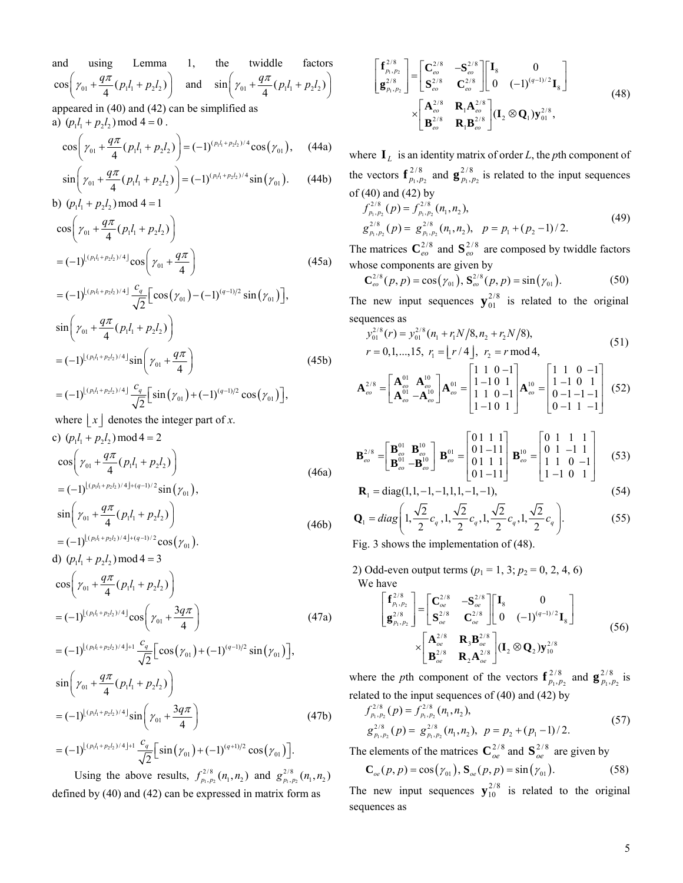and using Lemma 1, the twiddle factors  $\cos\left(\gamma_{01} + \frac{q\pi}{4}(p_1l_1 + p_2l_2)\right)$  $\left(\gamma_{01} + \frac{q\pi}{4}(p_1l_1 + p_2l_2)\right)$  and  $\sin\left(\gamma_{01} + \frac{q\pi}{4}(p_1l_1 + p_2l_2)\right)$  $\left(\gamma_{01} + \frac{q\pi}{4}(p_1l_1 + p_2l_2)\right)$ appeared in (40) and (42) can be simplified as a)  $(p_1 l_1 + p_2 l_2) \text{ mod } 4 = 0$ .

$$
\cos\left(\gamma_{01} + \frac{q\pi}{4}(p_1l_1 + p_2l_2)\right) = (-1)^{(p_1l_1 + p_2l_2)/4}\cos(\gamma_{01}), \quad (44a)
$$

$$
\sin\left(\gamma_{01} + \frac{q\pi}{4}(p_1l_1 + p_2l_2)\right) = (-1)^{(p_1l_1 + p_2l_2)/4} \sin(\gamma_{01}).
$$
 (44b)  
b)  $(p_1l_1 + p_2l_2) \mod 4 = 1$ 

$$
\cos\left(\gamma_{01} + \frac{q\pi}{4}(p_1l_1 + p_2l_2)\right)
$$
  
=  $(-1)^{\lfloor (p_1l_1 + p_2l_2)/4 \rfloor} \cos\left(\gamma_{01} + \frac{q\pi}{4}\right)$  (45a)

$$
= (-1)^{\lfloor (p_1 l_1 + p_2 l_2)/4 \rfloor} \frac{c_q}{\sqrt{2}} \Big[ \cos(\gamma_{01}) - (-1)^{(q-1)/2} \sin(\gamma_{01}) \Big],
$$
  
\n
$$
\sin \Big( \gamma_{01} + \frac{q\pi}{4} (p_1 l_1 + p_2 l_2) \Big)
$$
  
\n
$$
= (-1)^{\lfloor (p_1 l_1 + p_2 l_2)/4 \rfloor} \sin \Big( \gamma_{01} + \frac{q\pi}{4} \Big)
$$
  
\n
$$
= (-1)^{\lfloor (p_1 l_1 + p_2 l_2)/4 \rfloor} \frac{c_q}{\sqrt{2}} \Big[ \sin(\gamma_{01}) + (-1)^{(q-1)/2} \cos(\gamma_{01}) \Big],
$$
\n(45b)

where  $|x|$  denotes the integer part of *x*.

c) 
$$
(p_1l_1 + p_2l_2) \mod 4 = 2
$$
  
\n
$$
\cos\left(\gamma_{01} + \frac{q\pi}{4}(p_1l_1 + p_2l_2)\right)
$$
\n
$$
= (-1)^{\lfloor (p_1l_1 + p_2l_2)/4 \rfloor + (q-1)/2} \sin(\gamma_{01}),
$$
\n(46a)

$$
\sin\left(\gamma_{01} + \frac{q\pi}{4} (p_1 l_1 + p_2 l_2)\right) \n= (-1)^{\lfloor (p_1 l_1 + p_2 l_2)/4 \rfloor + (q-1)/2} \cos(\gamma_{01}).
$$
\n(46b)

d) 
$$
(p_1 l_1 + p_2 l_2) \text{ mod } 4 = 3
$$
  
\n
$$
\cos\left(\gamma_{01} + \frac{q\pi}{4} (p_1 l_1 + p_2 l_2)\right)
$$
\n
$$
= (-1)^{\lfloor (p_1 l_1 + p_2 l_2)/4 \rfloor} \cos\left(\gamma_{01} + \frac{3q\pi}{4}\right) \qquad (47a)
$$
\n
$$
= (-1)^{\lfloor (p_1 l_1 + p_2 l_2)/4 \rfloor + 1} \frac{c_q}{\sqrt{2}} \left[\cos(\gamma_{01}) + (-1)^{(q-1)/2} \sin(\gamma_{01})\right],
$$

$$
\sqrt{2^{2}}\sqrt{2^{2}}
$$
  
\n
$$
\sin\left(\gamma_{01} + \frac{q\pi}{4}(p_{1}l_{1} + p_{2}l_{2})\right)
$$
  
\n
$$
= (-1)^{\lfloor (p_{1}l_{1} + p_{2}l_{2})/4 \rfloor} \sin\left(\gamma_{01} + \frac{3q\pi}{4}\right)
$$
\n
$$
\left(\frac{1}{p_{1}}\right)\left(\frac{p_{2}l_{1} + p_{2}l_{2}}{1 + p_{2}l_{2}}\right) + \left(\frac{q\pi}{4}\right)\left(\frac{1}{p_{2}}\right)\left(\frac{1}{p_{1}}\right)^{2}\left(\frac{1}{p_{2}}\right)
$$
\n(47b)

 $= (-1)^{\lfloor (p_1l_1+p_2l_2)/4 \rfloor+1} \frac{c_q}{\sqrt{2}} \Big[ \sin(\gamma_{01}) + (-1)^{(q+1)/2} \cos(\gamma_{01}) \Big].$ 

Using the above results,  $f_{p_1, p_2}^{2/8}(n_1, n_2)$  and  $g_{p_1, p_2}^{2/8}(n_1, n_2)$ defined by (40) and (42) can be expressed in matrix form as

$$
\begin{bmatrix} \mathbf{f}_{p_1, p_2}^{2/8} \\ \mathbf{g}_{p_1, p_2}^{2/8} \end{bmatrix} = \begin{bmatrix} \mathbf{C}_{eo}^{2/8} & -\mathbf{S}_{eo}^{2/8} \\ \mathbf{S}_{eo}^{2/8} & \mathbf{C}_{eo}^{2/8} \end{bmatrix} \begin{bmatrix} \mathbf{I}_8 & 0 \\ 0 & (-1)^{(q-1)/2} \mathbf{I}_8 \end{bmatrix}
$$
\n
$$
\times \begin{bmatrix} \mathbf{A}_{eo}^{2/8} & \mathbf{R}_1 \mathbf{A}_{eo}^{2/8} \\ \mathbf{B}_{eo}^{2/8} & \mathbf{R}_1 \mathbf{B}_{eo}^{2/8} \end{bmatrix} (\mathbf{I}_2 \otimes \mathbf{Q}_1) \mathbf{y}_{01}^{2/8},
$$
\n(48)

where  $I_L$  is an identity matrix of order *L*, the *p*th component of the vectors  $\mathbf{f}_{p_1, p_2}^{2/8}$  and  $\mathbf{g}_{p_1, p_2}^{2/8}$  is related to the input sequences of  $(40)$  and  $(42)$  by

$$
f_{p_1, p_2}^{2/8}(p) = f_{p_1, p_2}^{2/8}(n_1, n_2),
$$
  
\n
$$
g_{p_1, p_2}^{2/8}(p) = g_{p_1, p_2}^{2/8}(n_1, n_2), \quad p = p_1 + (p_2 - 1)/2.
$$
\n(49)

The matrices  $\mathbf{C}_{eo}^{2/8}$  and  $\mathbf{S}_{eo}^{2/8}$  are composed by twiddle factors whose components are given by

$$
\mathbf{C}_{eo}^{2/8}(p, p) = \cos(\gamma_{01}), \mathbf{S}_{eo}^{2/8}(p, p) = \sin(\gamma_{01}).
$$
 (50)

The new input sequences  $y_{01}^{2/8}$  is related to the original sequences as

$$
y_{01}^{2/8}(r) = y_{01}^{2/8}(n_1 + r_1 N/8, n_2 + r_2 N/8),
$$
  
\n
$$
r = 0, 1, ..., 15, r_1 = \lfloor r/4 \rfloor, r_2 = r \mod 4,
$$
\n(51)

$$
\mathbf{A}_{eo}^{2/8} = \begin{bmatrix} \mathbf{A}_{eo}^{01} & \mathbf{A}_{eo}^{10} \\ \mathbf{A}_{eo}^{01} & -\mathbf{A}_{eo}^{10} \end{bmatrix} \mathbf{A}_{eo}^{01} = \begin{bmatrix} 1 & 1 & 0 & -1 \\ 1 & -1 & 0 & 1 \\ 1 & 1 & 0 & -1 \\ 1 & -1 & 0 & 1 \end{bmatrix} \mathbf{A}_{eo}^{10} = \begin{bmatrix} 1 & 1 & 0 & -1 \\ 1 & -1 & 0 & 1 \\ 0 & -1 & -1 & -1 \\ 0 & -1 & 1 & -1 \end{bmatrix}
$$
(52)

$$
\mathbf{B}_{eo}^{2/8} = \begin{bmatrix} \mathbf{B}_{eo}^{01} & \mathbf{B}_{eo}^{10} \\ \mathbf{B}_{eo}^{01} & -\mathbf{B}_{eo}^{10} \end{bmatrix} \mathbf{B}_{eo}^{01} = \begin{bmatrix} 0 & 1 & 1 & 1 \\ 0 & 1 & -1 & 1 \\ 0 & 1 & 1 & 1 \\ 0 & 1 & -1 & 1 \end{bmatrix} \mathbf{B}_{eo}^{10} = \begin{bmatrix} 0 & 1 & 1 & 1 \\ 0 & 1 & -1 & 1 \\ 1 & 1 & 0 & -1 \\ 1 & -1 & 0 & 1 \end{bmatrix}
$$
(53)

$$
\mathbf{R}_1 = \text{diag}(1, 1, -1, -1, 1, 1, -1, -1),\tag{54}
$$

$$
\mathbf{Q}_1 = diag\left(1, \frac{\sqrt{2}}{2}c_q, 1, \frac{\sqrt{2}}{2}c_q, 1, \frac{\sqrt{2}}{2}c_q, 1, \frac{\sqrt{2}}{2}c_q\right).
$$
 (55)

Fig. 3 shows the implementation of (48).

2) Odd-even output terms  $(p_1 = 1, 3; p_2 = 0, 2, 4, 6)$ We have

$$
\begin{bmatrix} \mathbf{f}_{p_1, p_2}^{2/8} \\ \mathbf{g}_{p_1, p_2}^{2/8} \end{bmatrix} = \begin{bmatrix} \mathbf{C}_{oe}^{2/8} & -\mathbf{S}_{oe}^{2/8} \\ \mathbf{S}_{oe}^{2/8} & \mathbf{C}_{oe}^{2/8} \end{bmatrix} \begin{bmatrix} \mathbf{I}_8 & 0 \\ 0 & (-1)^{(q-1)/2} \mathbf{I}_8 \end{bmatrix}
$$
\n
$$
\times \begin{bmatrix} \mathbf{A}_{oe}^{2/8} & \mathbf{R}_3 \mathbf{B}_{oe}^{2/8} \\ \mathbf{B}_{oe}^{2/8} & \mathbf{R}_2 \mathbf{A}_{oe}^{2/8} \end{bmatrix} (\mathbf{I}_2 \otimes \mathbf{Q}_2) \mathbf{y}_{10}^{2/8}
$$
\n(56)

where the *p*th component of the vectors  $\mathbf{f}_{p_1, p_2}^{2/8}$  and  $\mathbf{g}_{p_1, p_2}^{2/8}$  is related to the input sequences of (40) and (42) by

$$
f_{p_1, p_2}^{2/8}(p) = f_{p_1, p_2}^{2/8}(n_1, n_2),
$$
  
\n
$$
g_{p_1, p_2}^{2/8}(p) = g_{p_1, p_2}^{2/8}(n_1, n_2), \quad p = p_2 + (p_1 - 1)/2.
$$
\n(57)

The elements of the matrices  $\mathbb{C}_{oe}^{2/8}$  and  $\mathbb{S}_{oe}^{2/8}$  are given by

$$
\mathbf{C}_{oe}(p, p) = \cos(\gamma_{01}), \mathbf{S}_{oe}(p, p) = \sin(\gamma_{01}).
$$
 (58)

The new input sequences  $y_{10}^{2/8}$  is related to the original sequences as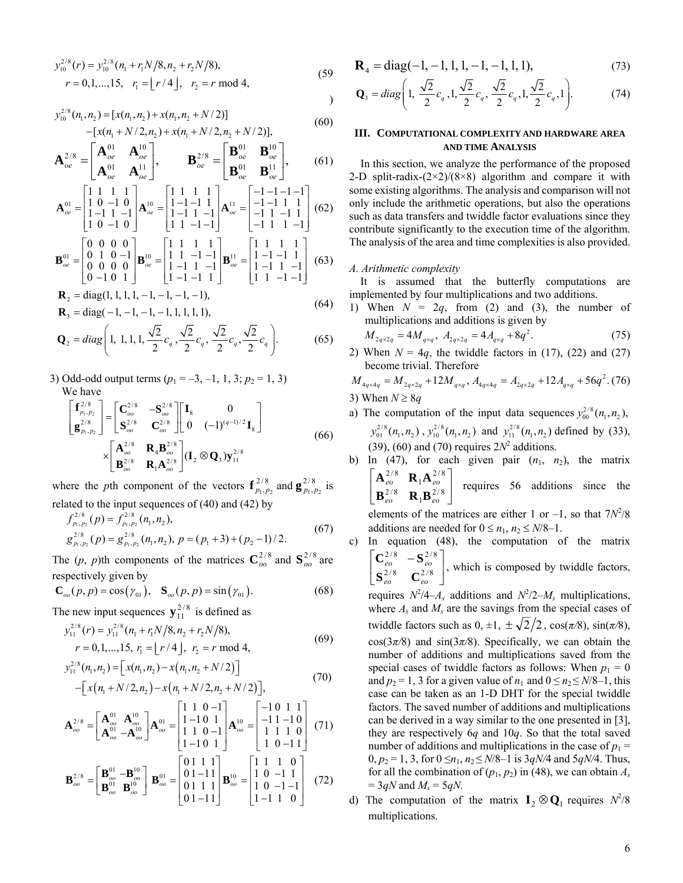$$
y_{10}^{2/8}(r) = y_{10}^{2/8}(n_1 + r_1 N/8, n_2 + r_2 N/8),
$$
  
\r = 0, 1, ..., 15, r<sub>1</sub> =  $\lfloor r/4 \rfloor$ , r<sub>2</sub> = r mod 4, (59)

$$
y_{10}^{2/8}(n_1, n_2) = [x(n_1, n_2) + x(n_1, n_2 + N/2)]
$$
  
-[x(n<sub>1</sub> + N/2, n<sub>2</sub>) + x(n<sub>1</sub> + N/2, n<sub>2</sub> + N/2)], (60)

$$
\mathbf{A}_{oe}^{2/8} = \begin{bmatrix} \mathbf{A}_{oe}^{01} & \mathbf{A}_{oe}^{10} \\ \mathbf{A}_{oe}^{01} & \mathbf{A}_{oe}^{11} \end{bmatrix}, \qquad \mathbf{B}_{oe}^{2/8} = \begin{bmatrix} \mathbf{B}_{oe}^{01} & \mathbf{B}_{oe}^{10} \\ \mathbf{B}_{oe}^{01} & \mathbf{B}_{oe}^{11} \end{bmatrix}, \qquad (61)
$$

$$
\mathbf{A}_{oe}^{01} = \begin{bmatrix} 1 & 1 & 1 & 1 \\ 1 & 0 & -1 & 0 \\ 1 & -1 & 1 & -1 \\ 1 & 0 & -1 & 0 \end{bmatrix} \mathbf{A}_{oe}^{10} = \begin{bmatrix} 1 & 1 & 1 & 1 \\ 1 & -1 & -1 & 1 \\ 1 & -1 & 1 & -1 \\ 1 & 1 & -1 & -1 \end{bmatrix} \mathbf{A}_{oe}^{11} = \begin{bmatrix} -1 & -1 & -1 & -1 \\ -1 & -1 & 1 & 1 \\ -1 & 1 & -1 & 1 \\ -1 & 1 & 1 & -1 \end{bmatrix} (62)
$$

$$
\mathbf{B}_{oe}^{01} = \begin{bmatrix} 0 & 0 & 0 & 0 \\ 0 & 1 & 0 & -1 \\ 0 & 0 & 0 & 0 \\ 0 & -1 & 0 & 1 \end{bmatrix} \mathbf{B}_{oe}^{10} = \begin{bmatrix} 1 & 1 & 1 & 1 \\ 1 & 1 & -1 & -1 \\ 1 & -1 & 1 & -1 \\ 1 & -1 & -1 & 1 \end{bmatrix} \mathbf{B}_{oe}^{11} = \begin{bmatrix} 1 & 1 & 1 & 1 \\ 1 & -1 & -1 & 1 \\ 1 & -1 & 1 & -1 \\ 1 & 1 & -1 & -1 \end{bmatrix} \tag{63}
$$

$$
\mathbf{R}_2 = \text{diag}(1, 1, 1, 1, -1, -1, -1, -1), \n\mathbf{R}_3 = \text{diag}(-1, -1, -1, -1, 1, 1, 1, 1),
$$
\n(64)

$$
\mathbf{Q}_2 = diag\left(1, 1, 1, 1, \frac{\sqrt{2}}{2}c_q, \frac{\sqrt{2}}{2}c_q, \frac{\sqrt{2}}{2}c_q, \frac{\sqrt{2}}{2}c_q\right).
$$
 (65)

3) Odd-odd output terms  $(p_1 = -3, -1, 1, 3; p_2 = 1, 3)$ We have

$$
\begin{bmatrix} \mathbf{f}_{p_1, p_2}^{2/8} \\ \mathbf{g}_{p_1, p_2}^{2/8} \end{bmatrix} = \begin{bmatrix} \mathbf{C}_{oo}^{2/8} & -\mathbf{S}_{oo}^{2/8} \\ \mathbf{S}_{oo}^{2/8} & \mathbf{C}_{oo}^{2/8} \end{bmatrix} \begin{bmatrix} \mathbf{I}_8 & 0 \\ 0 & (-1)^{(q-1)/2} \mathbf{I}_8 \end{bmatrix}
$$
\n
$$
\times \begin{bmatrix} \mathbf{A}_{oo}^{2/8} & \mathbf{R}_4 \mathbf{B}_{oo}^{2/8} \\ \mathbf{B}_{oo}^{2/8} & \mathbf{R}_1 \mathbf{A}_{oo}^{2/8} \end{bmatrix} (\mathbf{I}_2 \otimes \mathbf{Q}_3) \mathbf{y}_{11}^{2/8}
$$
\n(66)

where the *p*th component of the vectors  $\mathbf{f}_{p_1, p_2}^{2/8}$  and  $\mathbf{g}_{p_1, p_2}^{2/8}$  is related to the input sequences of (40) and (42) by

$$
f_{p_1, p_2}^{2/8}(p) = f_{p_1, p_2}^{2/8}(n_1, n_2),
$$
  
\n
$$
g_{p_1, p_2}^{2/8}(p) = g_{p_1, p_2}^{2/8}(n_1, n_2), p = (p_1 + 3) + (p_2 - 1)/2.
$$
\n(67)

The (*p*, *p*)th components of the matrices  $C_{oo}^{2/8}$  and  $S_{oo}^{2/8}$  are respectively given by

$$
\mathbf{C}_{oo}(p, p) = \cos(\gamma_{01}), \quad \mathbf{S}_{oo}(p, p) = \sin(\gamma_{01}). \tag{68}
$$

The new input sequences  $y_{11}^{2/8}$  is defined as

$$
y_{11}^{2/8}(r) = y_{11}^{2/8}(n_1 + r_1 N/8, n_2 + r_2 N/8),
$$
  
\r = 0, 1, ..., 15, r<sub>1</sub> =  $\lfloor r/4 \rfloor$ , r<sub>2</sub> = r mod 4, (69)

$$
y_{11}^{2/8}(n_1, n_2) = [x(n_1, n_2) - x(n_1, n_2 + N/2)]
$$
  
 
$$
- [x(n_1 + N/2, n_2) - x(n_1 + N/2, n_2 + N/2)], \qquad (70)
$$

$$
\mathbf{A}_{oo}^{2/8} = \begin{bmatrix} \mathbf{A}_{oo}^{01} & \mathbf{A}_{oo}^{10} \\ \mathbf{A}_{oo}^{01} & -\mathbf{A}_{oo}^{10} \end{bmatrix} \mathbf{A}_{oo}^{01} = \begin{bmatrix} 1 & 1 & 0 & -1 \\ 1 & -1 & 0 & 1 \\ 1 & 1 & 0 & -1 \\ 1 & -1 & 0 & 1 \end{bmatrix} \mathbf{A}_{oo}^{10} = \begin{bmatrix} -1 & 0 & 1 & 1 \\ -1 & 1 & -1 & 0 \\ 1 & 1 & 1 & 0 \\ 1 & 0 & -1 & 1 \end{bmatrix} \tag{71}
$$

$$
\mathbf{B}_{oo}^{2/8} = \begin{bmatrix} \mathbf{B}_{oo}^{01} & -\mathbf{B}_{oo}^{10} \\ \mathbf{B}_{oo}^{01} & \mathbf{B}_{oo}^{10} \end{bmatrix} \mathbf{B}_{oo}^{01} = \begin{bmatrix} 0 & 1 & 1 & 1 \\ 0 & 1 & -1 & 1 \\ 0 & 1 & 1 & 1 \\ 0 & 1 & -1 & 1 \end{bmatrix} \mathbf{B}_{oo}^{10} = \begin{bmatrix} 1 & 1 & 1 & 0 \\ 1 & 0 & -1 & 1 \\ 1 & 0 & -1 & -1 \\ 1 & -1 & 1 & 0 \end{bmatrix} \tag{72}
$$

$$
\mathbf{R}_4 = \text{diag}(-1, -1, 1, 1, -1, -1, 1, 1),\tag{73}
$$

$$
\mathbf{Q}_3 = diag\left(1, \frac{\sqrt{2}}{2}c_q, 1, \frac{\sqrt{2}}{2}c_q, \frac{\sqrt{2}}{2}c_q, 1, \frac{\sqrt{2}}{2}c_q, 1\right).
$$
 (74)

# **III. COMPUTATIONAL COMPLEXITY AND HARDWARE AREA AND TIME ANALYSIS**

In this section, we analyze the performance of the proposed 2-D split-radix- $(2\times2)/(8\times8)$  algorithm and compare it with some existing algorithms. The analysis and comparison will not only include the arithmetic operations, but also the operations such as data transfers and twiddle factor evaluations since they contribute significantly to the execution time of the algorithm. The analysis of the area and time complexities is also provided.

# *A. Arithmetic complexity*

It is assumed that the butterfly computations are implemented by four multiplications and two additions.

1) When  $N = 2q$ , from (2) and (3), the number of multiplications and additions is given by 2

$$
M_{2q \times 2q} = 4M_{q \times q}, \ A_{2q \times 2q} = 4A_{q \times q} + 8q^2. \tag{75}
$$

2) When  $N = 4q$ , the twiddle factors in (17), (22) and (27) become trivial. Therefore

$$
M_{4q \times 4q} = M_{2q \times 2q} + 12M_{q \times q}, A_{4q \times 4q} = A_{2q \times 2q} + 12A_{q \times q} + 56q^{2}
$$
 (76)  
3) When  $N \ge 8q$ 

- a) The computation of the input data sequences  $y_{00}^{2/8}(n_1, n_2)$ ,  $y_{01}^{2/8}(n_1, n_2)$ ,  $y_{10}^{2/8}(n_1, n_2)$  and  $y_{11}^{2/8}(n_1, n_2)$  defined by (33),  $(39)$ ,  $(60)$  and  $(70)$  requires  $2N^2$  additions.
- b) In (47), for each given pair  $(n_1, n_2)$ , the matrix  $\overline{\phantom{a}}$ ⎦  $\begin{array}{|c|c|} \n\mathbf{A}^{2/8}_{eo} & \mathbf{R}_1 \mathbf{A}^{2/8}_{eo} \\
\hline\n\mathbf{R}^{2/8} & \mathbf{R}_2 \mathbf{A}^{2/8} \\
\end{array}$ ⎣  $\mathsf{L}$  $\frac{2/8}{e_0}$  **R**<sub>1</sub>**B** $\frac{2/8}{e_0}$  $\frac{2/8}{e_0}$  **R**<sub>1</sub>**A** $\frac{2/8}{e_0}$ *eo eo eo eo*  ${\bf B}_{eo}^{2/8}$  **R**<sub>1</sub>**B**  $\mathbf{A}_{eo}^{2/8}$  **R**<sub>1</sub>**A** requires 56 additions since the

elements of the matrices are either 1 or  $-1$ , so that  $7N^2/8$ additions are needed for  $0 \le n_1$ ,  $n_2 \le N/8-1$ .

c) In equation (48), the computation of the matrix ⎥ , which is composed by twiddle factors, ⎦  $\left|\n\begin{array}{cc}\n\mathbf{C}_{eo}^{2/8} & -\mathbf{S}_{eo}^{2/8} \\
\mathbf{S}_{0}^{2/8} & \mathbf{S}_{0}^{2/8}\n\end{array}\n\right|$ ⎣  $\vert \mathbf{C}^{2/8}_{eo} \vert$  –  $2/8$   $\bigcap_{1/8} 2/8$  $2/8$   $\qquad \qquad \mathbf{C}^{2/8}$ *eo eo eo eo*  $S_{eo}^{2/8}$  **C**  $C_{ee}^{2/8}$  -S

requires  $N^2/4-A_s$  additions and  $N^2/2-M_s$  multiplications, where  $A_s$  and  $M_s$  are the savings from the special cases of twiddle factors such as  $0, \pm 1, \pm \sqrt{2}/2$ ,  $\cos(\pi/8), \sin(\pi/8)$ , cos(3*π/*8) and sin(3*π/*8). Specifically, we can obtain the number of additions and multiplications saved from the special cases of twiddle factors as follows: When  $p_1 = 0$ and  $p_2 = 1$ , 3 for a given value of  $n_1$  and  $0 \le n_2 \le N/8-1$ , this case can be taken as an 1-D DHT for the special twiddle factors. The saved number of additions and multiplications can be derived in a way similar to the one presented in [3], they are respectively 6*q* and 10*q*. So that the total saved number of additions and multiplications in the case of  $p_1 =$ 0,  $p_2 = 1$ , 3, for  $0 \le n_1, n_2 \le N/8 - 1$  is  $3qN/4$  and  $5qN/4$ . Thus, for all the combination of  $(p_1, p_2)$  in (48), we can obtain  $A_s$  $=$  3*qN* and  $M_s = 5qN$ .

d) The computation of the matrix  $I_2 \otimes Q_1$  requires  $N^2/8$ multiplications.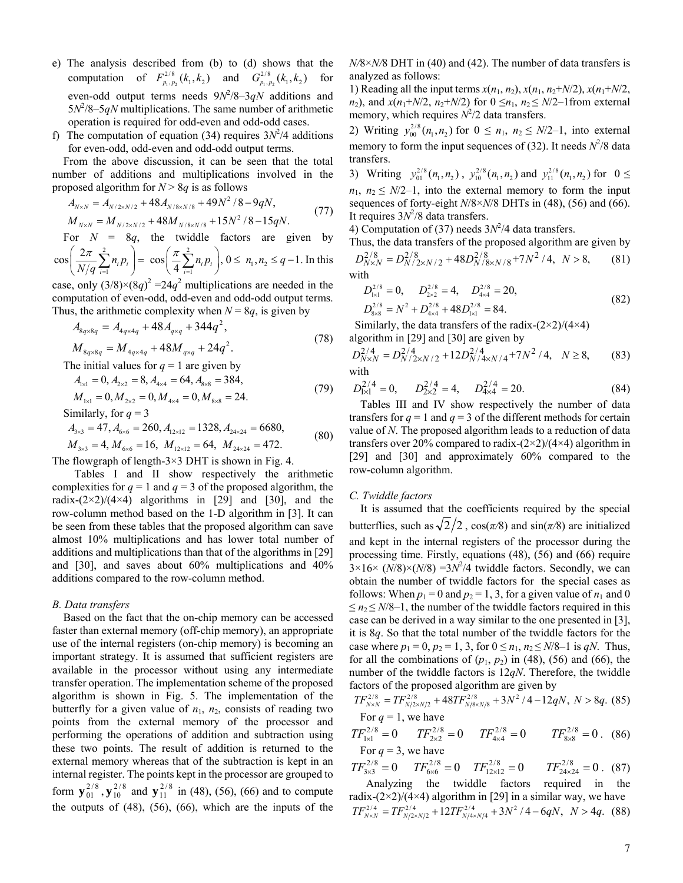- e) The analysis described from (b) to (d) shows that the computation of  $F_{p_1, p_2}^{2/8}(k_1, k_2)$  and  $G_{p_1, p_2}^{2/8}(k_1, k_2)$  for even-odd output terms needs  $9N^2/8-3qN$  additions and  $5N^2/8-5qN$  multiplications. The same number of arithmetic operation is required for odd-even and odd-odd cases.
- f) The computation of equation (34) requires  $3N^2/4$  additions for even-odd, odd-even and odd-odd output terms.

From the above discussion, it can be seen that the total number of additions and multiplications involved in the proposed algorithm for  $N > 8q$  is as follows

$$
A_{N \times N} = A_{N/2 \times N/2} + 48 A_{N/8 \times N/8} + 49 N^2 / 8 - 9 q N,
$$
  
\n
$$
M_{N \times N} = M_{N/2 \times N/2} + 48 M_{N/8 \times N/8} + 15 N^2 / 8 - 15 q N.
$$
\n(77)

For  $N = 8q$ , the twiddle factors are given by 2  $\pi$  2

 $\cos\left(\frac{2\pi}{N/q}\sum_{i=1}^{2}n_{i}p_{i}\right)=\cos\left(\frac{\pi}{4}\sum_{i=1}^{2}n_{i}p_{i}\right), 0 \leq n_{1}, n_{2} \leq q-1.$  $\left(\frac{2\pi}{N/q}\sum_{i=1}^{2}n_{i}p_{i}\right)=\cos\left(\frac{\pi}{4}\sum_{i=1}^{2}n_{i}p_{i}\right), 0 \leq n_{1}, n_{2} \leq q-1.$  In this

case, only  $(3/8) \times (8q)^2 = 24q^2$  multiplications are needed in the computation of even-odd, odd-even and odd-odd output terms. Thus, the arithmetic complexity when  $N = 8q$ , is given by

$$
A_{8q \times 8q} = A_{4q \times 4q} + 48A_{q \times q} + 344q^2,
$$
  
\n
$$
M_{8q \times 8q} = M_{4q \times 4q} + 48M_{q \times q} + 24q^2.
$$
\n(78)

The initial values for  $q = 1$  are given by

$$
A_{1\times1} = 0, A_{2\times2} = 8, A_{4\times4} = 64, A_{8\times8} = 384,
$$
  

$$
M_{1\times1} = 0, M_{2\times2} = 0, M_{4\times4} = 0, M_{8\times8} = 24.
$$
 (79)

Similarly, for  $q = 3$ 

$$
A_{3\times 3} = 47, A_{6\times 6} = 260, A_{12\times 12} = 1328, A_{24\times 24} = 6680,
$$

 $M_{3\times 3} = 4, M_{6\times 6} = 16, M_{12\times 12} = 64, M_{24\times 24} = 472.$  (80)

The flowgraph of length- $3\times3$  DHT is shown in Fig. 4.

Tables I and II show respectively the arithmetic complexities for  $q = 1$  and  $q = 3$  of the proposed algorithm, the radix- $(2\times2)/(4\times4)$  algorithms in [29] and [30], and the row-column method based on the 1-D algorithm in [3]. It can be seen from these tables that the proposed algorithm can save almost 10% multiplications and has lower total number of additions and multiplications than that of the algorithms in [29] and [30], and saves about 60% multiplications and 40% additions compared to the row-column method.

# *B. Data transfers*

Based on the fact that the on-chip memory can be accessed faster than external memory (off-chip memory), an appropriate use of the internal registers (on-chip memory) is becoming an important strategy. It is assumed that sufficient registers are available in the processor without using any intermediate transfer operation. The implementation scheme of the proposed algorithm is shown in Fig. 5. The implementation of the butterfly for a given value of  $n_1$ ,  $n_2$ , consists of reading two points from the external memory of the processor and performing the operations of addition and subtraction using these two points. The result of addition is returned to the external memory whereas that of the subtraction is kept in an internal register. The points kept in the processor are grouped to form  $\mathbf{y}_{01}^{2/8}$ ,  $\mathbf{y}_{10}^{2/8}$  and  $\mathbf{y}_{11}^{2/8}$  in (48), (56), (66) and to compute the outputs of (48), (56), (66), which are the inputs of the

*N/*8×*N/*8 DHT in (40) and (42). The number of data transfers is analyzed as follows:

1) Reading all the input terms  $x(n_1, n_2)$ ,  $x(n_1, n_2+N/2)$ ,  $x(n_1+N/2)$ , *n*<sub>2</sub>), and  $x(n_1+ N/2, n_2+N/2)$  for  $0 \le n_1, n_2 \le N/2-1$  from external memory, which requires  $N^2/2$  data transfers.

2) Writing  $y_{00}^{2/8}$  ( $n_1, n_2$ ) for  $0 \le n_1, n_2 \le N/2-1$ , into external memory to form the input sequences of  $(32)$ . It needs  $N^2/8$  data transfers.

3) Writing  $y_{01}^{2/8}(n_1, n_2)$ ,  $y_{10}^{2/8}(n_1, n_2)$  and  $y_{11}^{2/8}(n_1, n_2)$  for  $0 \le$  $n_1$ ,  $n_2 \leq N/2-1$ , into the external memory to form the input sequences of forty-eight *N*/8×*N*/8 DHTs in (48), (56) and (66). It requires  $3N^2/8$  data transfers.

4) Computation of (37) needs  $3N^2/4$  data transfers.

Thus, the data transfers of the proposed algorithm are given by  $D_{N\times N}^{2/8} = D_{N/2\times N/2}^{2/8} + 48D_{N/8\times N/8}^{2/8} + 7N^2/4$ ,  $N > 8$ , (81)

with  
\n
$$
D_{1\times 1}^{2/8} = 0, \qquad D_{2\times 2}^{2/8} = 4, \qquad D_{4\times 4}^{2/8} = 20,
$$
\n
$$
D_{8\times 8}^{2/8} = N^2 + D_{4\times 4}^{2/8} + 48D_{1\times 1}^{2/8} = 84.
$$
\n(82)

Similarly, the data transfers of the radix- $(2\times2)/(4\times4)$ algorithm in [29] and [30] are given by

$$
D_{N\times N}^{2/4} = D_{N/2\times N/2}^{2/4} + 12D_{N/4\times N/4}^{2/4} + 7N^2/4, \quad N \ge 8,
$$
 (83) with

$$
D_{1\times 1}^{2/4} = 0, \qquad D_{2\times 2}^{2/4} = 4, \qquad D_{4\times 4}^{2/4} = 20.
$$
 (84)

Tables III and IV show respectively the number of data transfers for  $q = 1$  and  $q = 3$  of the different methods for certain value of *N*. The proposed algorithm leads to a reduction of data transfers over 20% compared to radix- $(2\times2)/(4\times4)$  algorithm in [29] and [30] and approximately 60% compared to the row-column algorithm.

# *C. Twiddle factors*

It is assumed that the coefficients required by the special butterflies, such as  $\sqrt{2}/2$ ,  $\cos(\pi/8)$  and  $\sin(\pi/8)$  are initialized and kept in the internal registers of the processor during the processing time. Firstly, equations (48), (56) and (66) require  $3 \times 16 \times (N/8) \times (N/8) = 3N^2/4$  twiddle factors. Secondly, we can obtain the number of twiddle factors for the special cases as follows: When  $p_1 = 0$  and  $p_2 = 1, 3$ , for a given value of  $n_1$  and 0  $\leq n_2 \leq N/8-1$ , the number of the twiddle factors required in this case can be derived in a way similar to the one presented in [3], it is 8*q*. So that the total number of the twiddle factors for the case where  $p_1 = 0$ ,  $p_2 = 1$ , 3, for  $0 \le n_1$ ,  $n_2 \le N/8-1$  is *qN*. Thus, for all the combinations of  $(p_1, p_2)$  in (48), (56) and (66), the number of the twiddle factors is 12*qN*. Therefore, the twiddle factors of the proposed algorithm are given by

$$
TF_{N \times N}^{2/8} = TF_{N/2 \times N/2}^{2/8} + 48TF_{N/8 \times N/8}^{2/8} + 3N^2 / 4 - 12qN, N > 8q.
$$
 (85)  
For  $q = 1$ , we have

$$
TF_{1\times1}^{2/8} = 0 \t TF_{2\times2}^{2/8} = 0 \t TF_{4\times4}^{2/8} = 0 \t TF_{8\times8}^{2/8} = 0.
$$
 (86)  
For  $q = 3$ , we have

$$
TF_{3\times 3}^{2/8} = 0 \tTF_{6\times 6}^{2/8} = 0 \tTF_{12\times 12}^{2/8} = 0 \tTF_{24\times 24}^{2/8} = 0. \t(87)
$$

Analyzing the twiddle factors required in the radix- $(2\times2)/(4\times4)$  algorithm in [29] in a similar way, we have  $TF_{N\times N}^{2/4} = TF_{N/2\times N/2}^{2/4} + 12TF_{N/4\times N/4}^{2/4} + 3N^2/4 - 6qN, N > 4q.$  (88)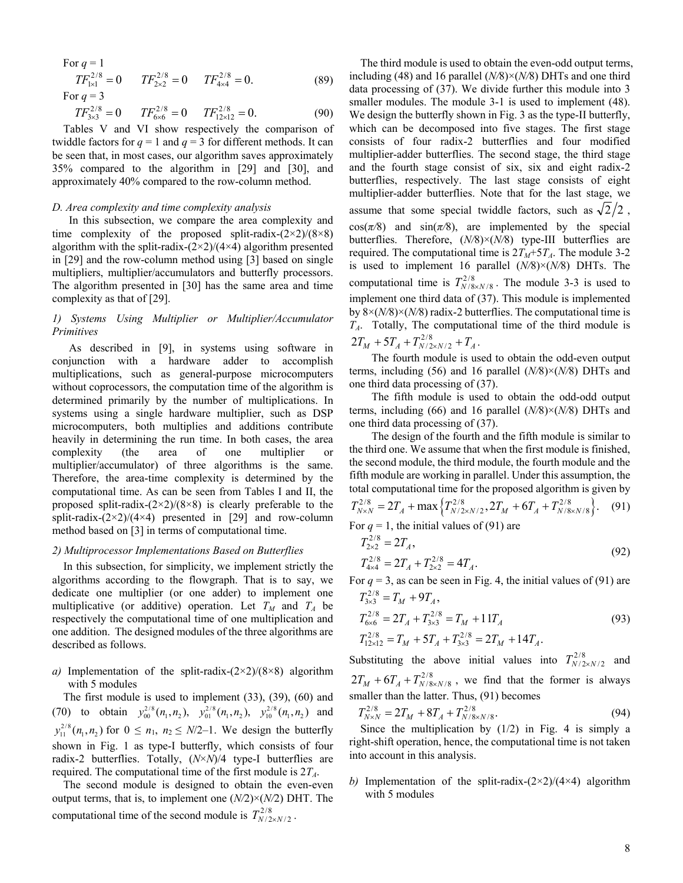For  $q = 1$  $TF_{1\times 1}^{2/8} = 0$   $TF_{2\times 2}^{2/8} = 0$   $TF_{4\times 4}^{2/8} = 0.$  (89) For  $q = 3$ 

 $TF_{3\times 3}^{2/8} = 0$   $TF_{6\times 6}^{2/8} = 0$   $TF_{12\times 12}^{2/8} = 0.$  (90)

Tables V and VI show respectively the comparison of twiddle factors for  $q = 1$  and  $q = 3$  for different methods. It can be seen that, in most cases, our algorithm saves approximately 35% compared to the algorithm in [29] and [30], and approximately 40% compared to the row-column method.

## *D. Area complexity and time complexity analysis*

In this subsection, we compare the area complexity and time complexity of the proposed split-radix- $(2\times2)/(8\times8)$ algorithm with the split-radix- $(2\times2)/(4\times4)$  algorithm presented in [29] and the row-column method using [3] based on single multipliers, multiplier/accumulators and butterfly processors. The algorithm presented in [30] has the same area and time complexity as that of [29].

# *1) Systems Using Multiplier or Multiplier/Accumulator Primitives*

As described in [9], in systems using software in conjunction with a hardware adder to accomplish multiplications, such as general-purpose microcomputers without coprocessors, the computation time of the algorithm is determined primarily by the number of multiplications. In systems using a single hardware multiplier, such as DSP microcomputers, both multiplies and additions contribute heavily in determining the run time. In both cases, the area complexity (the area of one multiplier or multiplier/accumulator) of three algorithms is the same. Therefore, the area-time complexity is determined by the computational time. As can be seen from Tables I and II, the proposed split-radix- $(2\times2)/(8\times8)$  is clearly preferable to the split-radix- $(2\times2)/(4\times4)$  presented in [29] and row-column method based on [3] in terms of computational time.

# *2) Multiprocessor Implementations Based on Butterflies*

In this subsection, for simplicity, we implement strictly the algorithms according to the flowgraph. That is to say, we dedicate one multiplier (or one adder) to implement one multiplicative (or additive) operation. Let  $T_M$  and  $T_A$  be respectively the computational time of one multiplication and one addition. The designed modules of the three algorithms are described as follows.

*a)* Implementation of the split-radix-(2×2)/(8×8) algorithm with 5 modules

 The first module is used to implement (33), (39), (60) and (70) to obtain  $y_{00}^{2/8}(n_1, n_2)$ ,  $y_{01}^{2/8}(n_1, n_2)$ ,  $y_{10}^{2/8}(n_1, n_2)$  and  $y_{11}^{2/8}(n_1, n_2)$  for  $0 \le n_1, n_2 \le N/2-1$ . We design the butterfly shown in Fig. 1 as type-I butterfly, which consists of four radix-2 butterflies. Totally, (*N*×*N*)/4 type-I butterflies are required. The computational time of the first module is 2*TA*.

The second module is designed to obtain the even-even output terms, that is, to implement one (*N/*2)×(*N/*2) DHT. The computational time of the second module is  $T^{2/8}_{N/2 \times N/2}$ .

The third module is used to obtain the even-odd output terms, including (48) and 16 parallel (*N/*8)×(*N/*8) DHTs and one third data processing of (37). We divide further this module into 3 smaller modules. The module 3-1 is used to implement  $(48)$ . We design the butterfly shown in Fig. 3 as the type-II butterfly, which can be decomposed into five stages. The first stage consists of four radix-2 butterflies and four modified multiplier-adder butterflies. The second stage, the third stage and the fourth stage consist of six, six and eight radix-2 butterflies, respectively. The last stage consists of eight multiplier-adder butterflies. Note that for the last stage, we assume that some special twiddle factors, such as  $\sqrt{2}/2$ ,  $cos(\pi/8)$  and  $sin(\pi/8)$ , are implemented by the special butterflies. Therefore, (*N/*8)×(*N/*8) type-III butterflies are required. The computational time is  $2T_M+5T_A$ . The module 3-2 is used to implement 16 parallel (*N/*8)×(*N/*8) DHTs. The computational time is  $T_{N/8 \times N/8}^{2/8}$ . The module 3-3 is used to implement one third data of (37). This module is implemented by 8×(*N/*8)×(*N/*8) radix-2 butterflies. The computational time is *TA*. Totally, The computational time of the third module is  $2T_M + 5T_A + T_{N/2 \times N/2}^{2/8} + T_A$ .

The fourth module is used to obtain the odd-even output terms, including (56) and 16 parallel (*N/*8)×(*N/*8) DHTs and one third data processing of (37).

The fifth module is used to obtain the odd-odd output terms, including (66) and 16 parallel (*N/*8)×(*N/*8) DHTs and one third data processing of (37).

The design of the fourth and the fifth module is similar to the third one. We assume that when the first module is finished, the second module, the third module, the fourth module and the fifth module are working in parallel. Under this assumption, the total computational time for the proposed algorithm is given by  $T_{N \times N}^{2/8} = 2T_A + \max \left\{ T_{N/2 \times N/2}^{2/8}, 2T_M + 6T_A + T_{N/8 \times N/8}^{2/8} \right\}.$  (91) For  $q = 1$ , the initial values of (91) are

$$
T_{2\times 2}^{2/8} = 2T_A,
$$
  
\n
$$
T_{4\times 4}^{2/8} = 2T_A + T_{2\times 2}^{2/8} = 4T_A.
$$
\n(92)

For  $q = 3$ , as can be seen in Fig. 4, the initial values of (91) are  $T_{3\times 3}^{2/8} = T_M + 9T_A,$ 

$$
T_{6\times6}^{2/8} = 2T_A + T_{3\times3}^{2/8} = T_M + 11T_A
$$
  
\n
$$
T_{12\times12}^{2/8} = T_M + 5T_A + T_{3\times3}^{2/8} = 2T_M + 14T_A.
$$
\n(93)

Substituting the above initial values into  $T_{N/2 \times N/2}^{2/8}$  and  $2T_M + 6T_A + T_{N/8 \times N/8}^{2/8}$ , we find that the former is always smaller than the latter. Thus, (91) becomes

$$
T_{N\times N}^{2/8} = 2T_M + 8T_A + T_{N/8\times N/8}^{2/8}.
$$
 (94)

Since the multiplication by  $(1/2)$  in Fig. 4 is simply a right-shift operation, hence, the computational time is not taken into account in this analysis.

*b*) Implementation of the split-radix- $(2\times2)/(4\times4)$  algorithm with 5 modules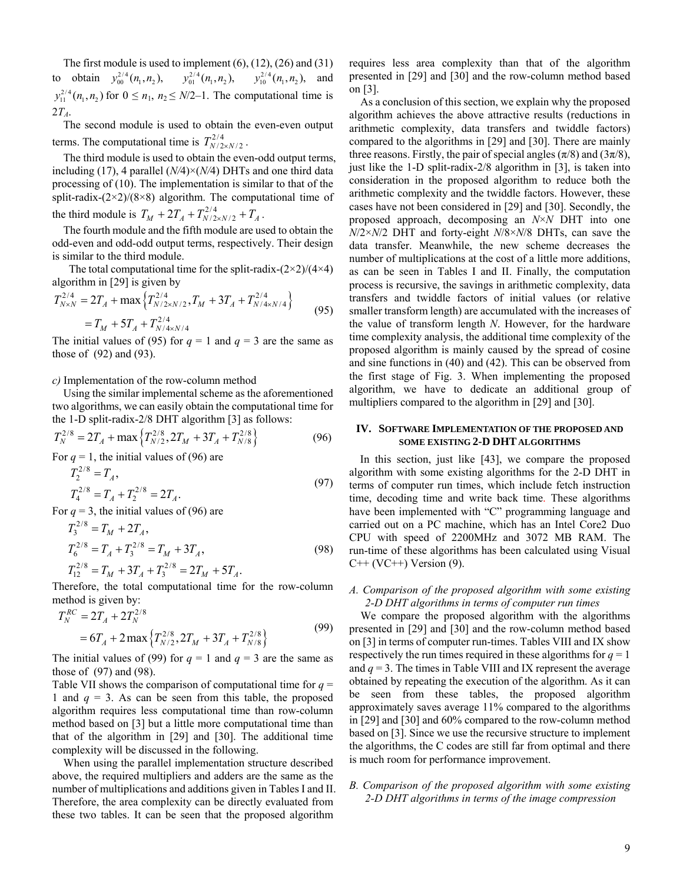The first module is used to implement  $(6)$ ,  $(12)$ ,  $(26)$  and  $(31)$ to obtain  $y_{00}^{2/4}(n_1, n_2)$ ,  $y_{01}^{2/4}(n_1, n_2)$ ,  $y_{10}^{2/4}(n_1, n_2)$ , and  $y_{11}^{2/4}$  ( $n_1, n_2$ ) for  $0 \le n_1, n_2 \le N/2-1$ . The computational time is 2*TA*.

The second module is used to obtain the even-even output terms. The computational time is  $T_{N/2 \times N/2}^{2/4}$ .

The third module is used to obtain the even-odd output terms, including (17), 4 parallel (*N/*4)×(*N/*4) DHTs and one third data processing of (10). The implementation is similar to that of the split-radix- $(2\times2)/(8\times8)$  algorithm. The computational time of the third module is  $T_M + 2T_A + T_{N/2 \times N/2}^{2/4} + T_A$ .

The fourth module and the fifth module are used to obtain the odd-even and odd-odd output terms, respectively. Their design is similar to the third module.

The total computational time for the split-radix- $(2\times2)/(4\times4)$ algorithm in [29] is given by

$$
T_{N \times N}^{2/4} = 2T_A + \max \left\{ T_{N/2 \times N/2}^{2/4}, T_M + 3T_A + T_{N/4 \times N/4}^{2/4} \right\}
$$
  
=  $T_M + 5T_A + T_{N/4 \times N/4}^{2/4}$  (95)

The initial values of (95) for  $q = 1$  and  $q = 3$  are the same as those of (92) and (93).

# *c)* Implementation of the row-column method

Using the similar implemental scheme as the aforementioned two algorithms, we can easily obtain the computational time for the 1-D split-radix-2/8 DHT algorithm [3] as follows:

$$
T_N^{2/8} = 2T_A + \max\left\{T_{N/2}^{2/8}, 2T_M + 3T_A + T_{N/8}^{2/8}\right\}
$$
(96)

For  $q = 1$ , the initial values of (96) are

$$
T_2^{2/8} = T_A,
$$
  
\n
$$
T_4^{2/8} = T_A + T_2^{2/8} = 2T_A.
$$
\n(97)

For  $q = 3$ , the initial values of (96) are

$$
T_3^{2/8} = T_M + 2T_A,
$$
  
\n
$$
T_6^{2/8} = T_A + T_3^{2/8} = T_M + 3T_A,
$$
  
\n
$$
T_{12}^{2/8} = T_M + 3T_A + T_3^{2/8} = 2T_M + 5T_A.
$$
\n(98)

Therefore, the total computational time for the row-column method is given by:

$$
T_N^{RC} = 2T_A + 2T_N^{2/8}
$$
  
= 6T\_A + 2 \max \left\{ T\_{N/2}^{2/8}, 2T\_M + 3T\_A + T\_{N/8}^{2/8} \right\} (99)

The initial values of (99) for  $q = 1$  and  $q = 3$  are the same as those of (97) and (98).

Table VII shows the comparison of computational time for *q* = 1 and  $q = 3$ . As can be seen from this table, the proposed algorithm requires less computational time than row-column method based on [3] but a little more computational time than that of the algorithm in [29] and [30]. The additional time complexity will be discussed in the following.

When using the parallel implementation structure described above, the required multipliers and adders are the same as the number of multiplications and additions given in Tables I and II. Therefore, the area complexity can be directly evaluated from these two tables. It can be seen that the proposed algorithm

requires less area complexity than that of the algorithm presented in [29] and [30] and the row-column method based on [3].

As a conclusion of this section, we explain why the proposed algorithm achieves the above attractive results (reductions in arithmetic complexity, data transfers and twiddle factors) compared to the algorithms in [29] and [30]. There are mainly three reasons. Firstly, the pair of special angles  $(\pi/8)$  and  $(3\pi/8)$ , just like the 1-D split-radix-2/8 algorithm in [3], is taken into consideration in the proposed algorithm to reduce both the arithmetic complexity and the twiddle factors. However, these cases have not been considered in [29] and [30]. Secondly, the proposed approach, decomposing an *N*×*N* DHT into one *N*/2×*N*/2 DHT and forty-eight *N*/8×*N*/8 DHTs, can save the data transfer. Meanwhile, the new scheme decreases the number of multiplications at the cost of a little more additions, as can be seen in Tables I and II. Finally, the computation process is recursive, the savings in arithmetic complexity, data transfers and twiddle factors of initial values (or relative smaller transform length) are accumulated with the increases of the value of transform length *N*. However, for the hardware time complexity analysis, the additional time complexity of the proposed algorithm is mainly caused by the spread of cosine and sine functions in (40) and (42). This can be observed from the first stage of Fig. 3. When implementing the proposed algorithm, we have to dedicate an additional group of multipliers compared to the algorithm in [29] and [30].

# **IV. SOFTWARE IMPLEMENTATION OF THE PROPOSED AND SOME EXISTING 2-D DHT ALGORITHMS**

In this section, just like [43], we compare the proposed algorithm with some existing algorithms for the 2-D DHT in terms of computer run times, which include fetch instruction time, decoding time and write back time. These algorithms have been implemented with "C" programming language and carried out on a PC machine, which has an Intel Core2 Duo CPU with speed of 2200MHz and 3072 MB RAM. The run-time of these algorithms has been calculated using Visual  $C++ (VC++)$  Version (9).

# *A. Comparison of the proposed algorithm with some existing 2-D DHT algorithms in terms of computer run times*

 We compare the proposed algorithm with the algorithms presented in [29] and [30] and the row-column method based on [3] in terms of computer run-times. Tables VIII and IX show respectively the run times required in these algorithms for  $q = 1$ and  $q = 3$ . The times in Table VIII and IX represent the average obtained by repeating the execution of the algorithm. As it can be seen from these tables, the proposed algorithm approximately saves average 11% compared to the algorithms in [29] and [30] and 60% compared to the row-column method based on [3]. Since we use the recursive structure to implement the algorithms, the C codes are still far from optimal and there is much room for performance improvement.

# *B. Comparison of the proposed algorithm with some existing 2-D DHT algorithms in terms of the image compression*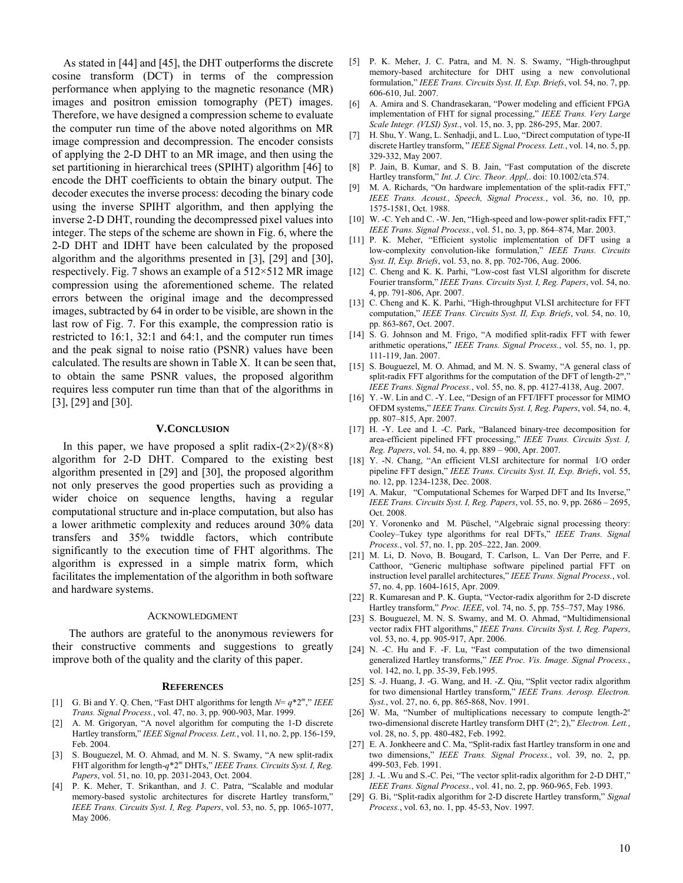As stated in [44] and [45], the DHT outperforms the discrete cosine transform (DCT) in terms of the compression performance when applying to the magnetic resonance (MR) images and positron emission tomography (PET) images. Therefore, we have designed a compression scheme to evaluate the computer run time of the above noted algorithms on MR image compression and decompression. The encoder consists of applying the 2-D DHT to an MR image, and then using the set partitioning in hierarchical trees (SPIHT) algorithm [46] to encode the DHT coefficients to obtain the binary output. The decoder executes the inverse process: decoding the binary code using the inverse SPIHT algorithm, and then applying the inverse 2-D DHT, rounding the decompressed pixel values into integer. The steps of the scheme are shown in Fig. 6, where the 2-D DHT and IDHT have been calculated by the proposed algorithm and the algorithms presented in [3], [29] and [30], respectively. Fig. 7 shows an example of a  $512 \times 512$  MR image compression using the aforementioned scheme. The related errors between the original image and the decompressed images, subtracted by 64 in order to be visible, are shown in the last row of Fig. 7. For this example, the compression ratio is restricted to 16:1, 32:1 and 64:1, and the computer run times and the peak signal to noise ratio (PSNR) values have been calculated. The results are shown in Table X. It can be seen that, to obtain the same PSNR values, the proposed algorithm requires less computer run time than that of the algorithms in [3], [29] and [30].

## **V.CONCLUSION**

In this paper, we have proposed a split radix- $(2\times2)/(8\times8)$ algorithm for 2-D DHT. Compared to the existing best algorithm presented in [29] and [30], the proposed algorithm not only preserves the good properties such as providing a wider choice on sequence lengths, having a regular computational structure and in-place computation, but also has a lower arithmetic complexity and reduces around 30% data transfers and 35% twiddle factors, which contribute significantly to the execution time of FHT algorithms. The algorithm is expressed in a simple matrix form, which facilitates the implementation of the algorithm in both software and hardware systems.

### ACKNOWLEDGMENT

The authors are grateful to the anonymous reviewers for their constructive comments and suggestions to greatly improve both of the quality and the clarity of this paper.

### **REFERENCES**

- [1] G. Bi and Y. Q. Chen, "Fast DHT algorithms for length  $N = q^*2^m$ ," *IEEE Trans. Signal Process.*, vol. 47, no. 3, pp. 900-903, Mar. 1999.
- [2] A. M. Grigoryan, "A novel algorithm for computing the 1-D discrete Hartley transform," *IEEE Signal Process. Lett.*, vol. 11, no. 2, pp. 156-159, Feb. 2004.
- [3] S. Bouguezel, M. O. Ahmad, and M. N. S. Swamy, "A new split-radix FHT algorithm for length-*q*\*2*<sup>m</sup>* DHTs," *IEEE Trans. Circuits Syst. I, Reg. Papers*, vol. 51, no. 10, pp. 2031-2043, Oct. 2004.
- [4] P. K. Meher, T. Srikanthan, and J. C. Patra, "Scalable and modular memory-based systolic architectures for discrete Hartley transform," *IEEE Trans. Circuits Syst. I, Reg. Papers*, vol. 53, no. 5, pp. 1065-1077, May 2006.
- [5] P. K. Meher, J. C. Patra, and M. N. S. Swamy, "High-throughput memory-based architecture for DHT using a new convolutional formulation," *IEEE Trans. Circuits Syst. II, Exp. Briefs*, vol. 54, no. 7, pp. 606-610, Jul. 2007.
- [6] A. Amira and S. Chandrasekaran, "Power modeling and efficient FPGA implementation of FHT for signal processing," *IEEE Trans. Very Large Scale Integr. (VLSI) Syst.*, vol. 15, no. 3, pp. 286-295, Mar. 2007.
- [7] H. Shu, Y. Wang, L. Senhadji, and L. Luo, "Direct computation of type-II discrete Hartley transform, " *IEEE Signal Process. Lett.*, vol. 14, no. 5, pp. 329-332, May 2007.
- [8] P. Jain, B. Kumar, and S. B. Jain, "Fast computation of the discrete Hartley transform," *Int. J. Circ. Theor. Appl,*. doi: 10.1002/cta.574.
- [9] M. A. Richards, "On hardware implementation of the split-radix FFT," *IEEE Trans. Acoust., Speech, Signal Process.*, vol. 36, no. 10, pp. 1575-1581, Oct. 1988.
- [10] W. -C. Yeh and C. -W. Jen, "High-speed and low-power split-radix FFT," *IEEE Trans. Signal Process.*, vol. 51, no. 3, pp. 864–874, Mar. 2003.
- [11] P. K. Meher, "Efficient systolic implementation of DFT using a low-complexity convolution-like formulation," *IEEE Trans. Circuits Syst. II, Exp. Briefs*, vol. 53, no. 8, pp. 702-706, Aug. 2006.
- [12] C. Cheng and K. K. Parhi, "Low-cost fast VLSI algorithm for discrete Fourier transform," *IEEE Trans. Circuits Syst. I, Reg. Papers*, vol. 54, no. 4, pp. 791-806, Apr. 2007.
- [13] C. Cheng and K. K. Parhi, "High-throughput VLSI architecture for FFT computation," *IEEE Trans. Circuits Syst. II, Exp. Briefs*, vol. 54, no. 10, pp. 863-867, Oct. 2007.
- [14] S. G. Johnson and M. Frigo, "A modified split-radix FFT with fewer arithmetic operations," *IEEE Trans. Signal Process.*, vol. 55, no. 1, pp. 111-119, Jan. 2007.
- [15] S. Bouguezel, M. O. Ahmad, and M. N. S. Swamy, "A general class of split-radix FFT algorithms for the computation of the DFT of length-2<sup>*m*</sup>, *IEEE Trans. Signal Process.*, vol. 55, no. 8, pp. 4127-4138, Aug. 2007.
- [16] Y. -W. Lin and C. -Y. Lee, "Design of an FFT/IFFT processor for MIMO OFDM systems," *IEEE Trans. Circuits Syst. I, Reg. Papers*, vol. 54, no. 4, pp. 807–815, Apr. 2007.
- [17] H. -Y. Lee and I. -C. Park, "Balanced binary-tree decomposition for area-efficient pipelined FFT processing," *IEEE Trans. Circuits Syst. I, Reg. Papers*, vol. 54, no. 4, pp. 889 – 900, Apr. 2007.
- [18] Y. -N. Chang, "An efficient VLSI architecture for normal I/O order pipeline FFT design," *IEEE Trans. Circuits Syst. II, Exp. Briefs*, vol. 55, no. 12, pp. 1234-1238, Dec. 2008.
- [19] A. Makur, "Computational Schemes for Warped DFT and Its Inverse," *IEEE Trans. Circuits Syst. I, Reg. Papers*, vol. 55, no. 9, pp. 2686 – 2695, Oct. 2008.
- [20] Y. Voronenko and M. Püschel, "Algebraic signal processing theory: Cooley–Tukey type algorithms for real DFTs," *IEEE Trans. Signal Process.*, vol. 57, no. 1, pp. 205–222, Jan. 2009.
- [21] M. Li, D. Novo, B. Bougard, T. Carlson, L. Van Der Perre, and F. Catthoor, "Generic multiphase software pipelined partial FFT on instruction level parallel architectures," *IEEE Trans. Signal Process.*, vol. 57, no. 4, pp. 1604-1615, Apr. 2009.
- [22] R. Kumaresan and P. K. Gupta, "Vector-radix algorithm for 2-D discrete Hartley transform," *Proc. IEEE*, vol. 74, no. 5, pp. 755–757, May 1986.
- [23] S. Bouguezel, M. N. S. Swamy, and M. O. Ahmad, "Multidimensional vector radix FHT algorithms," *IEEE Trans. Circuits Syst. I, Reg. Papers*, vol. 53, no. 4, pp. 905-917, Apr. 2006.
- [24] N. -C. Hu and F. -F. Lu, "Fast computation of the two dimensional generalized Hartley transforms," *IEE Proc. Vis. Image. Signal Process.*, vol. 142, no. l, pp. 35-39, Feb.1995.
- [25] S. -J. Huang, J. -G. Wang, and H. -Z. Qiu, "Split vector radix algorithm for two dimensional Hartley transform," *IEEE Trans. Aerosp. Electron. Syst.*, vol. 27, no. 6, pp. 865-868, Nov. 1991.
- [26] W. Ma, "Number of multiplications necessary to compute length-2*<sup>n</sup>* two-dimensional discrete Hartley transform DHT (2*<sup>n</sup>* ; 2)," *Electron. Lett.*, vol. 28, no. 5, pp. 480-482, Feb. 1992.
- [27] E. A. Jonkheere and C. Ma, "Split-radix fast Hartley transform in one and two dimensions," *IEEE Trans. Signal Process.*, vol. 39, no. 2, pp. 499-503, Feb. 1991.
- [28] J. -L .Wu and S.-C. Pei, "The vector split-radix algorithm for 2-D DHT," *IEEE Trans. Signal Process.*, vol. 41, no. 2, pp. 960-965, Feb. 1993.
- [29] G. Bi, "Split-radix algorithm for 2-D discrete Hartley transform," *Signal Process.*, vol. 63, no. 1, pp. 45-53, Nov. 1997.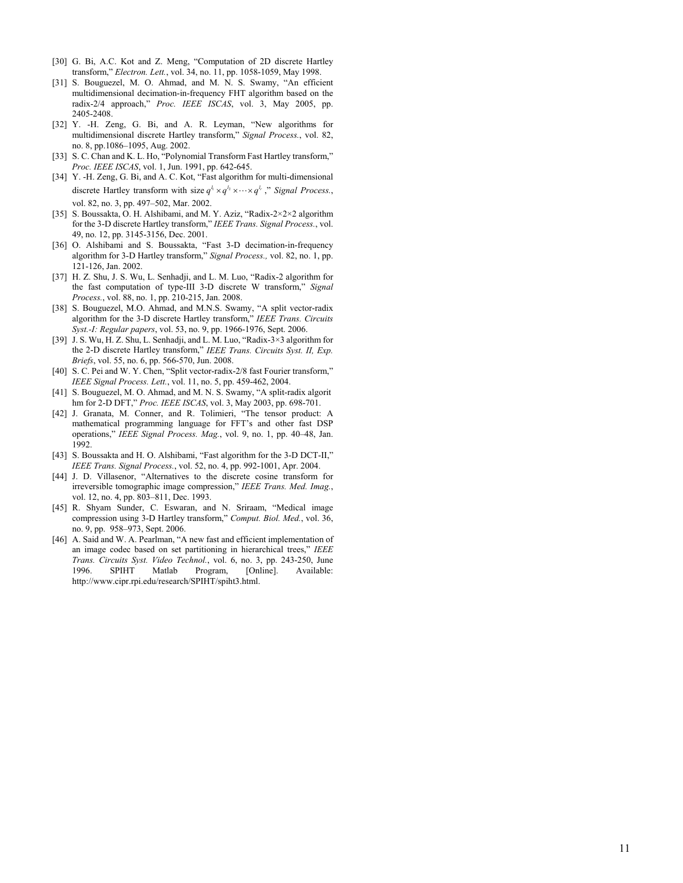- [30] G. Bi, A.C. Kot and Z. Meng, "Computation of 2D discrete Hartley transform," *Electron. Lett.*, vol. 34, no. 11, pp. 1058-1059, May 1998.
- [31] S. Bouguezel, M. O. Ahmad, and M. N. S. Swamy, "An efficient multidimensional decimation-in-frequency FHT algorithm based on the radix-2/4 approach," *Proc. IEEE ISCAS*, vol. 3, May 2005, pp. 2405-2408.
- [32] Y. -H. Zeng, G. Bi, and A. R. Leyman, "New algorithms for multidimensional discrete Hartley transform," *Signal Process.*, vol. 82, no. 8, pp.1086–1095, Aug. 2002.
- [33] S. C. Chan and K. L. Ho, "Polynomial Transform Fast Hartley transform," *Proc. IEEE ISCAS*, vol. 1, Jun. 1991, pp. 642-645.
- [34] Y. -H. Zeng, G. Bi, and A. C. Kot, "Fast algorithm for multi-dimensional discrete Hartley transform with size  $q^{l_1} \times q^{l_2} \times \cdots \times q^{l_r}$ ," *Signal Process.*, vol. 82, no. 3, pp. 497–502, Mar. 2002.
- [35] S. Boussakta, O. H. Alshibami, and M. Y. Aziz, "Radix-2×2×2 algorithm for the 3-D discrete Hartley transform," *IEEE Trans. Signal Process.*, vol. 49, no. 12, pp. 3145-3156, Dec. 2001.
- [36] O. Alshibami and S. Boussakta, "Fast 3-D decimation-in-frequency algorithm for 3-D Hartley transform," *Signal Process.,* vol. 82, no. 1, pp. 121-126, Jan. 2002.
- [37] H. Z. Shu, J. S. Wu, L. Senhadji, and L. M. Luo, "Radix-2 algorithm for the fast computation of type-III 3-D discrete W transform," *Signal Process.*, vol. 88, no. 1, pp. 210-215, Jan. 2008.
- [38] S. Bouguezel, M.O. Ahmad, and M.N.S. Swamy, "A split vector-radix algorithm for the 3-D discrete Hartley transform," *IEEE Trans. Circuits Syst.-I: Regular papers*, vol. 53, no. 9, pp. 1966-1976, Sept. 2006.
- [39] J. S. Wu, H. Z. Shu, L. Senhadji, and L. M. Luo, "Radix-3×3 algorithm for the 2-D discrete Hartley transform," *IEEE Trans. Circuits Syst. II, Exp. Briefs*, vol. 55, no. 6, pp. 566-570, Jun. 2008.
- [40] S. C. Pei and W. Y. Chen, "Split vector-radix-2/8 fast Fourier transform," *IEEE Signal Process. Lett.*, vol. 11, no. 5, pp. 459-462, 2004.
- [41] S. Bouguezel, M. O. Ahmad, and M. N. S. Swamy, "A split-radix algorit hm for 2-D DFT," *Proc. IEEE ISCAS*, vol. 3, May 2003, pp. 698-701.
- [42] J. Granata, M. Conner, and R. Tolimieri, "The tensor product: A mathematical programming language for FFT's and other fast DSP operations," *IEEE Signal Process. Mag.*, vol. 9, no. 1, pp. 40–48, Jan. 1992.
- [43] S. Boussakta and H. O. Alshibami, "Fast algorithm for the 3-D DCT-II," *IEEE Trans. Signal Process.*, vol. 52, no. 4, pp. 992-1001, Apr. 2004.
- [44] J. D. Villasenor, "Alternatives to the discrete cosine transform for irreversible tomographic image compression," *IEEE Trans. Med. Imag.*, vol. 12, no. 4, pp. 803–811, Dec. 1993.
- [45] R. Shyam Sunder, C. Eswaran, and N. Sriraam, "Medical image compression using 3-D Hartley transform," *Comput. Biol. Med.*, vol. 36, no. 9, pp. 958–973, Sept. 2006.
- [46] A. Said and W. A. Pearlman, "A new fast and efficient implementation of an image codec based on set partitioning in hierarchical trees," *IEEE Trans. Circuits Syst. Video Technol.*, vol. 6, no. 3, pp. 243-250, June 1996. SPIHT Matlab Program, [Online]. Available: http://www.cipr.rpi.edu/research/SPIHT/spiht3.html.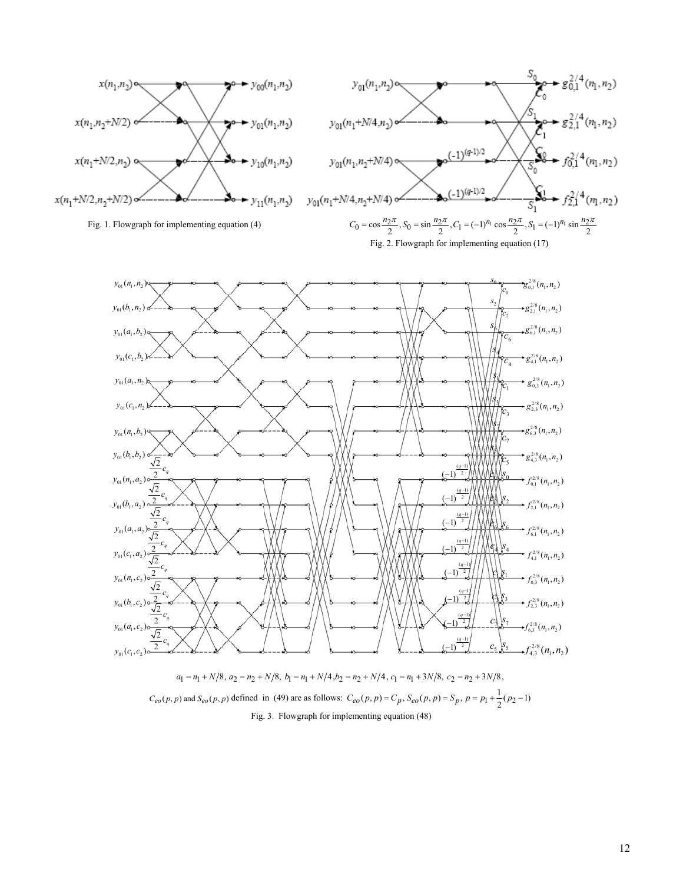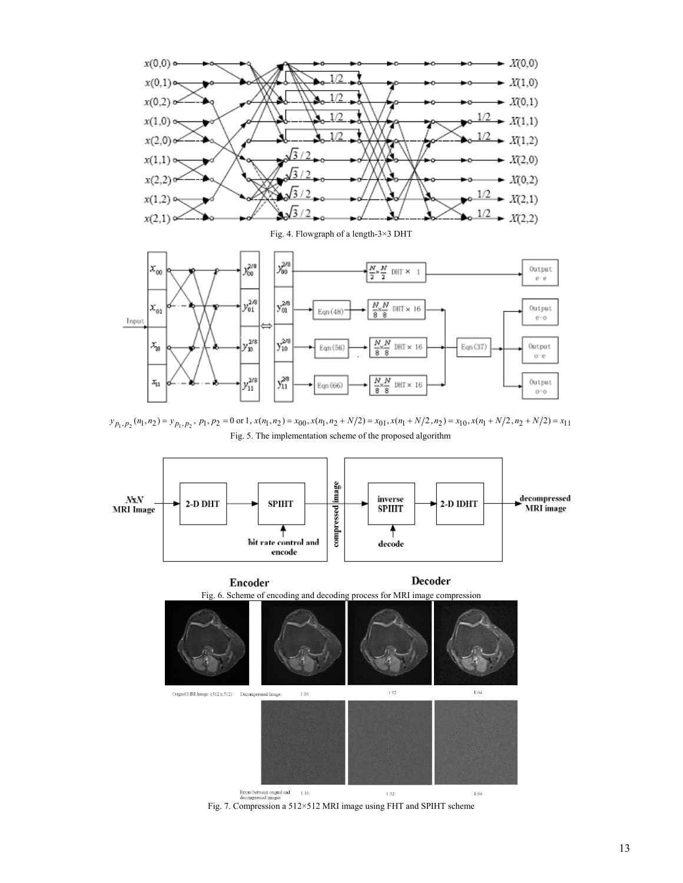

 $y_{p_1, p_2}(n_1, n_2) = y_{p_1, p_2}, p_1, p_2 = 0 \text{ or } 1, x(n_1, n_2) = x_{00}, x(n_1, n_2 + N/2) = x_{01}, x(n_1 + N/2, n_2) = x_{10}, x(n_1 + N/2, n_2 + N/2) = x_{11}$ Fig. 5. The implementation scheme of the proposed algorithm



Fig. 7. Compression a 512×512 MRI image using FHT and SPIHT scheme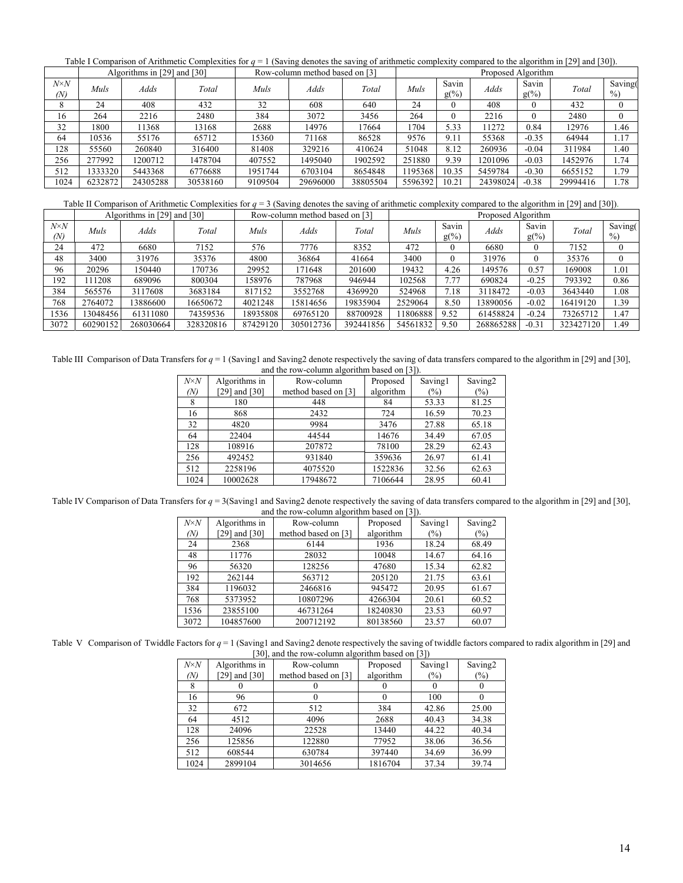Table I Comparison of Arithmetic Complexities for *q* = 1 (Saving denotes the saving of arithmetic complexity compared to the algorithm in [29] and [30]).

|                     | Algorithms in [29] and [30] |          |          | Row-column method based on [3] |             |          | Proposed Algorithm |                  |          |                  |          |                 |
|---------------------|-----------------------------|----------|----------|--------------------------------|-------------|----------|--------------------|------------------|----------|------------------|----------|-----------------|
| $N \times N$<br>(N) | Muls                        | Adds     | Total    | Muls                           | <i>Adds</i> | Total    | Muls               | Savin<br>$g(\%)$ | Adds     | Savin<br>$g(\%)$ | Total    | Saving(<br>$\%$ |
| $\circ$             | 24                          | 408      | 432      | 32                             | 608         | 640      | 24                 | 0                | 408      | $\Omega$         | 432      |                 |
| 16                  | 264                         | 2216     | 2480     | 384                            | 3072        | 3456     | 264                | 0                | 2216     | $\Omega$         | 2480     |                 |
| 32                  | 1800                        | 1368     | 13168    | 2688                           | 14976       | 17664    | 1704               | 5.33             | 11272    | 0.84             | 12976    | 1.46            |
| 64                  | 10536                       | 55176    | 65712    | 15360                          | 71168       | 86528    | 9576               | 9.11             | 55368    | $-0.35$          | 64944    | 1.17            |
| 128                 | 55560                       | 260840   | 316400   | 81408                          | 329216      | 410624   | 51048              | 8.12             | 260936   | $-0.04$          | 311984   | 1.40            |
| 256                 | 277992                      | 1200712  | 1478704  | 407552                         | 1495040     | 1902592  | 251880             | 9.39             | 1201096  | $-0.03$          | 1452976  | 1.74            |
| 512                 | 333320                      | 5443368  | 6776688  | 1951744                        | 6703104     | 8654848  | 1195368            | 10.35            | 5459784  | $-0.30$          | 6655152  | 1.79            |
| 1024                | 6232872                     | 24305288 | 30538160 | 9109504                        | 29696000    | 38805504 | 5596392            | 10.21            | 24398024 | $-0.38$          | 29994416 | 1.78            |

Table II Comparison of Arithmetic Complexities for *q* = 3 (Saving denotes the saving of arithmetic complexity compared to the algorithm in [29] and [30]).

|                     | Algorithms in [29] and [30] |           |           | Row-column method based on [3] |           |           | Proposed Algorithm |                  |             |                  |           |                 |
|---------------------|-----------------------------|-----------|-----------|--------------------------------|-----------|-----------|--------------------|------------------|-------------|------------------|-----------|-----------------|
| $N \times N$<br>(N) | Muls                        | Adds      | Total     | Muls                           | Adds      | Total     | Muls               | Savin<br>$g(\%)$ | <b>Adds</b> | Savin<br>$g(\%)$ | Total     | Saving(<br>$\%$ |
| 24                  | 472                         | 6680      | 7152      | 576                            | 7776      | 8352      | 472                | 0                | 6680        | 0                | 7152      | $\theta$        |
| 48                  | 3400                        | 31976     | 35376     | 4800                           | 36864     | 41664     | 3400               |                  | 31976       | $\Omega$         | 35376     | $\mathbf{0}$    |
| 96                  | 20296                       | 150440    | 170736    | 29952                          | 171648    | 201600    | 19432              | 4.26             | 149576      | 0.57             | 169008    | 1.01            |
| 192                 | 111208                      | 689096    | 800304    | 158976                         | 787968    | 946944    | 102568             | 7.77             | 690824      | $-0.25$          | 793392    | 0.86            |
| 384                 | 565576                      | 3117608   | 3683184   | 817152                         | 3552768   | 4369920   | 524968             | 7.18             | 3118472     | $-0.03$          | 3643440   | 1.08            |
| 768                 | 2764072                     | 13886600  | 16650672  | 4021248                        | 15814656  | 19835904  | 2529064            | 8.50             | 13890056    | $-0.02$          | 16419120  | 1.39            |
| 1536                | 3048456                     | 61311080  | 74359536  | 18935808                       | 69765120  | 88700928  | 11806888           | 9.52             | 61458824    | $-0.24$          | 73265712  | 1.47            |
| 3072                | 60290152                    | 268030664 | 328320816 | 87429120                       | 305012736 | 392441856 | 54561832           | 9.50             | 268865288   | $-0.31$          | 323427120 | 1.49            |

Table III Comparison of Data Transfers for  $q = 1$  (Saving1 and Saving2 denote respectively the saving of data transfers compared to the algorithm in [29] and [30], and the row-column algorithm based on [3]).

| $N \times N$ | Algorithms in | $\frac{1}{2}$<br>Row-column | Proposed  | Saving1 | Saving <sub>2</sub> |
|--------------|---------------|-----------------------------|-----------|---------|---------------------|
| (N)          | [29] and [30] | method based on [3]         | algorithm | $(\%)$  | $(\%)$              |
| 8            | 180           | 448                         | 84        | 53.33   | 81.25               |
| 16           | 868           | 2432                        | 724       | 16.59   | 70.23               |
| 32           | 4820          | 9984                        | 3476      | 27.88   | 65.18               |
| 64           | 22404         | 44544                       | 14676     | 34.49   | 67.05               |
| 128          | 108916        | 207872                      | 78100     | 28.29   | 62.43               |
| 256          | 492452        | 931840                      | 359636    | 26.97   | 61.41               |
| 512          | 2258196       | 4075520                     | 1522836   | 32.56   | 62.63               |
| 1024         | 10002628      | 17948672                    | 7106644   | 28.95   | 60.41               |

Table IV Comparison of Data Transfers for  $q = 3$ (Saving1 and Saving2 denote respectively the saving of data transfers compared to the algorithm in [29] and [30], and the row-column algorithm based on [3]).

| $N \times N$ | Algorithms in   | and the row column argument based on $\vert \sigma \vert$ .<br>Row-column | Proposed  | Saving1 | Saving <sub>2</sub> |
|--------------|-----------------|---------------------------------------------------------------------------|-----------|---------|---------------------|
| (N)          | [29] and $[30]$ | method based on [3]                                                       | algorithm | $(\%)$  | $(\%)$              |
| 24           | 2368            | 6144                                                                      | 1936      | 18.24   | 68.49               |
| 48           | 11776           | 28032                                                                     | 10048     | 14.67   | 64.16               |
| 96           | 56320           | 128256                                                                    | 47680     | 15.34   | 62.82               |
| 192          | 262144          | 563712                                                                    | 205120    | 21.75   | 63.61               |
| 384          | 1196032         | 2466816                                                                   | 945472    | 20.95   | 61.67               |
| 768          | 5373952         | 10807296                                                                  | 4266304   | 20.61   | 60.52               |
| 1536         | 23855100        | 46731264                                                                  | 18240830  | 23.53   | 60.97               |
| 3072         | 104857600       | 200712192                                                                 | 80138560  | 23.57   | 60.07               |

Table V Comparison of Twiddle Factors for  $q = 1$  (Saving1 and Saving2 denote respectively the saving of twiddle factors compared to radix algorithm in [29] and [30], and the row-column algorithm based on [3])

| $N \times N$ | Algorithms in   | $\sigma$ , and the fow-column argorithm based on<br>Row-column | Proposed  | $1 - 11$<br>Saving1 | Saving <sub>2</sub> |
|--------------|-----------------|----------------------------------------------------------------|-----------|---------------------|---------------------|
| (N)          | [29] and $[30]$ | method based on [3]                                            | algorithm | (%)                 | $(\%)$              |
|              |                 |                                                                |           |                     |                     |
| 16           | 96              |                                                                |           | 100                 |                     |
| 32           | 672             | 512                                                            | 384       | 42.86               | 25.00               |
| 64           | 4512            | 4096                                                           | 2688      | 40.43               | 34.38               |
| 128          | 24096           | 22528                                                          | 13440     | 44.22               | 40.34               |
| 256          | 125856          | 122880                                                         | 77952     | 38.06               | 36.56               |
| 512          | 608544          | 630784                                                         | 397440    | 34.69               | 36.99               |
| 1024         | 2899104         | 3014656                                                        | 1816704   | 37.34               | 39.74               |